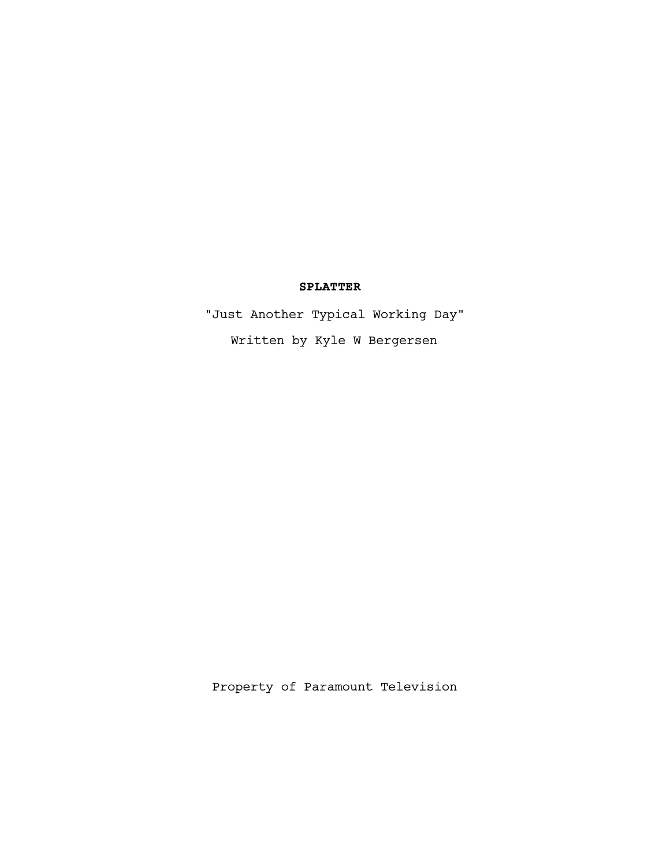# **SPLATTER**

"Just Another Typical Working Day" Written by Kyle W Bergersen

Property of Paramount Television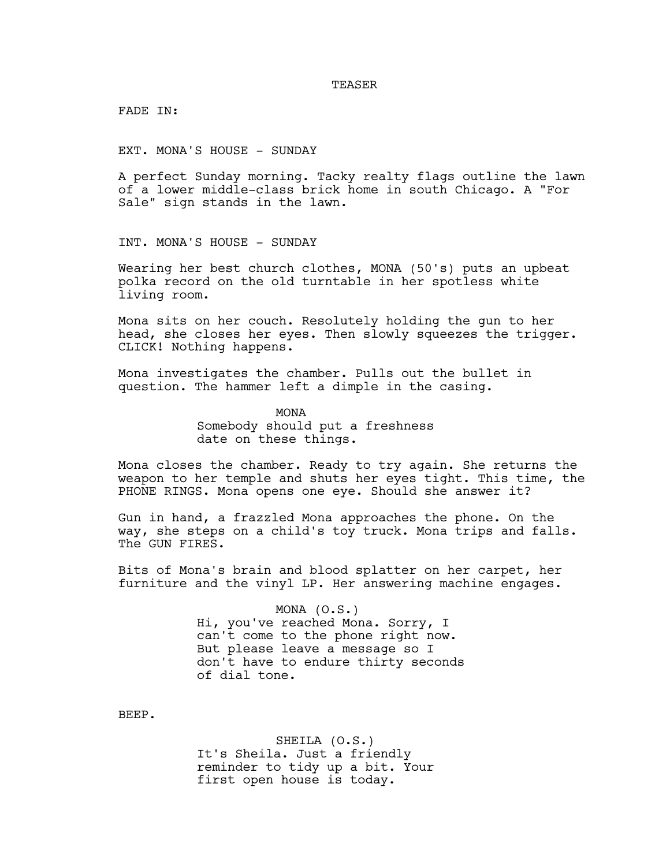#### **TEASER**

FADE IN:

EXT. MONA'S HOUSE - SUNDAY

A perfect Sunday morning. Tacky realty flags outline the lawn of a lower middle-class brick home in south Chicago. A "For Sale" sign stands in the lawn.

INT. MONA'S HOUSE - SUNDAY

Wearing her best church clothes, MONA (50's) puts an upbeat polka record on the old turntable in her spotless white living room.

Mona sits on her couch. Resolutely holding the gun to her head, she closes her eyes. Then slowly squeezes the trigger. CLICK! Nothing happens.

Mona investigates the chamber. Pulls out the bullet in question. The hammer left a dimple in the casing.

> MONA Somebody should put a freshness date on these things.

Mona closes the chamber. Ready to try again. She returns the weapon to her temple and shuts her eyes tight. This time, the PHONE RINGS. Mona opens one eye. Should she answer it?

Gun in hand, a frazzled Mona approaches the phone. On the way, she steps on a child's toy truck. Mona trips and falls. The GUN FIRES.

Bits of Mona's brain and blood splatter on her carpet, her furniture and the vinyl LP. Her answering machine engages.

> MONA (O.S.) Hi, you've reached Mona. Sorry, I can't come to the phone right now. But please leave a message so I don't have to endure thirty seconds of dial tone.

BEEP.

SHEILA (O.S.) It's Sheila. Just a friendly reminder to tidy up a bit. Your first open house is today.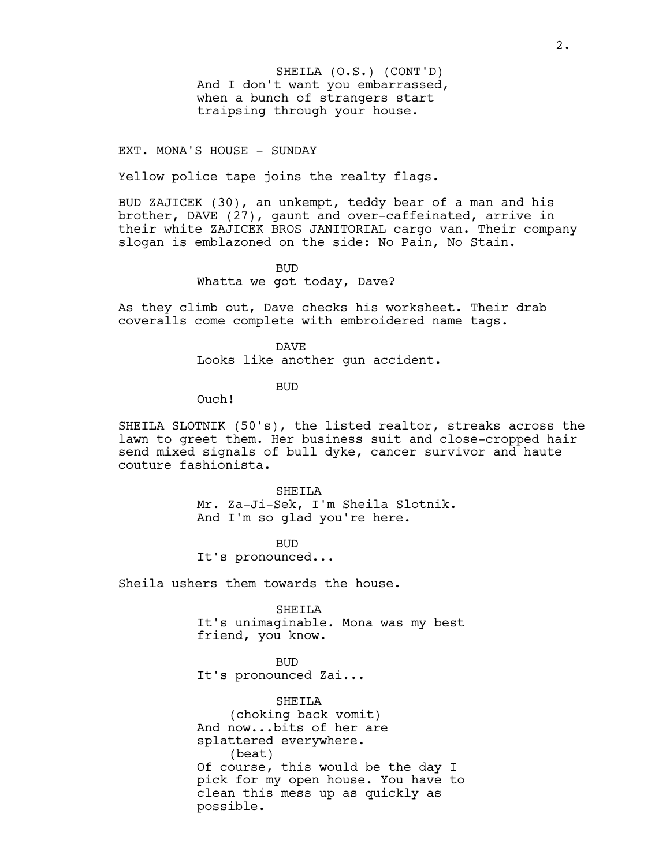And I don't want you embarrassed, when a bunch of strangers start traipsing through your house. SHEILA (O.S.) (CONT'D)

## EXT. MONA'S HOUSE - SUNDAY

Yellow police tape joins the realty flags.

BUD ZAJICEK (30), an unkempt, teddy bear of a man and his brother, DAVE (27), gaunt and over-caffeinated, arrive in their white ZAJICEK BROS JANITORIAL cargo van. Their company slogan is emblazoned on the side: No Pain, No Stain.

> BUD Whatta we got today, Dave?

As they climb out, Dave checks his worksheet. Their drab coveralls come complete with embroidered name tags.

> DAVE Looks like another gun accident.

> > BUD

Ouch!

SHEILA SLOTNIK (50's), the listed realtor, streaks across the lawn to greet them. Her business suit and close-cropped hair send mixed signals of bull dyke, cancer survivor and haute couture fashionista.

> SHETLA Mr. Za-Ji-Sek, I'm Sheila Slotnik. And I'm so glad you're here.

BUD It's pronounced...

Sheila ushers them towards the house.

SHEILA It's unimaginable. Mona was my best friend, you know.

BUD It's pronounced Zai...

SHEILA (choking back vomit) And now...bits of her are splattered everywhere. (beat) Of course, this would be the day I pick for my open house. You have to clean this mess up as quickly as possible.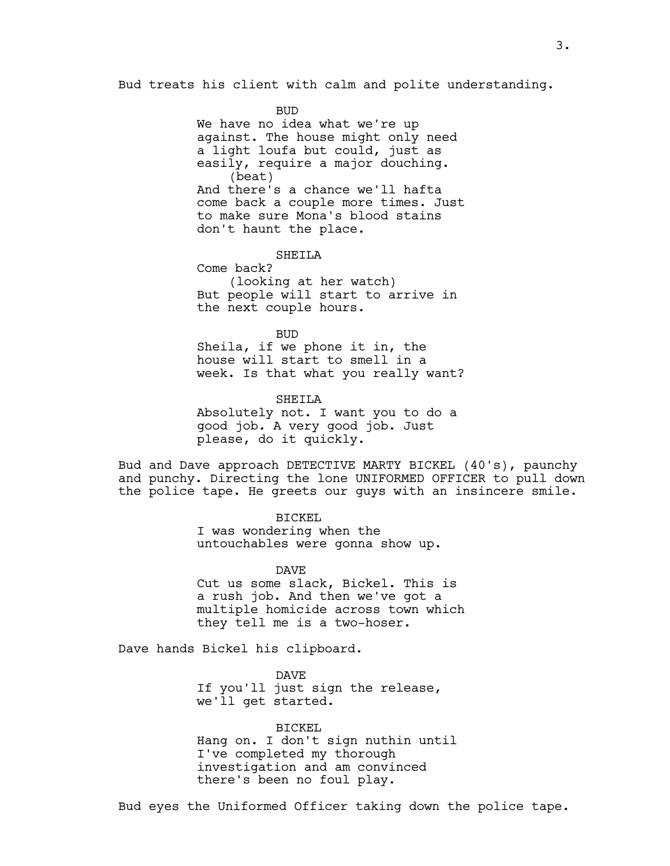Bud treats his client with calm and polite understanding.

**BUD** 

We have no idea what we're up against. The house might only need a light loufa but could, just as easily, require a major douching. (beat) And there's a chance we'll hafta come back a couple more times. Just to make sure Mona's blood stains don't haunt the place.

SHETLA

Come back? (looking at her watch) But people will start to arrive in the next couple hours.

BUD Sheila, if we phone it in, the house will start to smell in a week. Is that what you really want?

SHETLA Absolutely not. I want you to do a good job. A very good job. Just please, do it quickly.

Bud and Dave approach DETECTIVE MARTY BICKEL (40's), paunchy and punchy. Directing the lone UNIFORMED OFFICER to pull down the police tape. He greets our guys with an insincere smile.

## BICKEL

I was wondering when the untouchables were gonna show up.

DAVE

Cut us some slack, Bickel. This is a rush job. And then we've got a multiple homicide across town which they tell me is a two-hoser.

Dave hands Bickel his clipboard.

DAVE If you'll just sign the release, we'll get started.

BICKEL Hang on. I don't sign nuthin until I've completed my thorough investigation and am convinced there's been no foul play.

Bud eyes the Uniformed Officer taking down the police tape.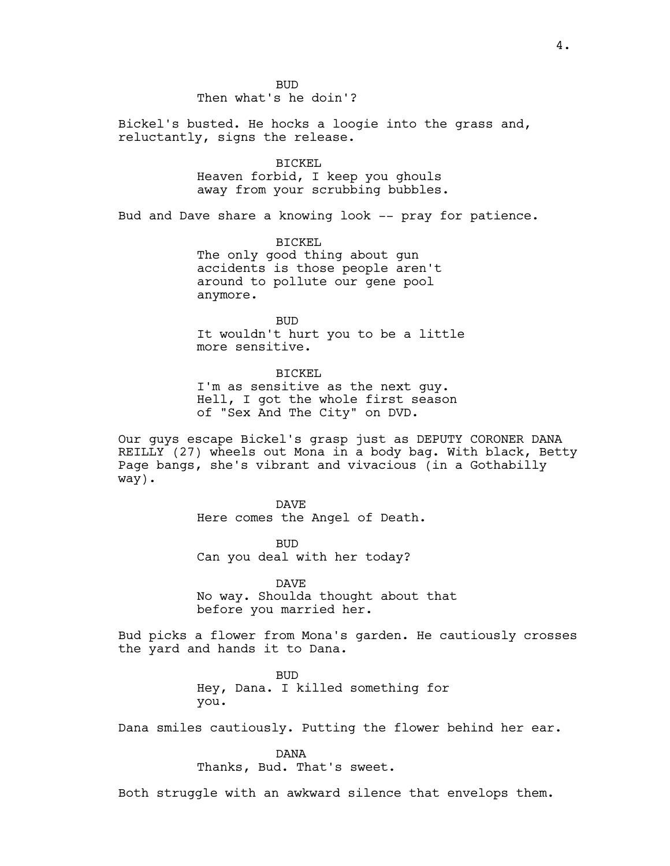BUD Then what's he doin'?

Bickel's busted. He hocks a loogie into the grass and, reluctantly, signs the release.

BICKEL

Heaven forbid, I keep you ghouls away from your scrubbing bubbles.

Bud and Dave share a knowing look -- pray for patience.

BICKEL The only good thing about gun accidents is those people aren't around to pollute our gene pool anymore.

BUD It wouldn't hurt you to be a little more sensitive.

BICKEL I'm as sensitive as the next guy. Hell, I got the whole first season of "Sex And The City" on DVD.

Our guys escape Bickel's grasp just as DEPUTY CORONER DANA REILLY (27) wheels out Mona in a body bag. With black, Betty Page bangs, she's vibrant and vivacious (in a Gothabilly way).

> DAVE Here comes the Angel of Death.

BUD Can you deal with her today?

DAVE No way. Shoulda thought about that before you married her.

Bud picks a flower from Mona's garden. He cautiously crosses the yard and hands it to Dana.

> BUD Hey, Dana. I killed something for you.

Dana smiles cautiously. Putting the flower behind her ear.

DANA

Thanks, Bud. That's sweet.

Both struggle with an awkward silence that envelops them.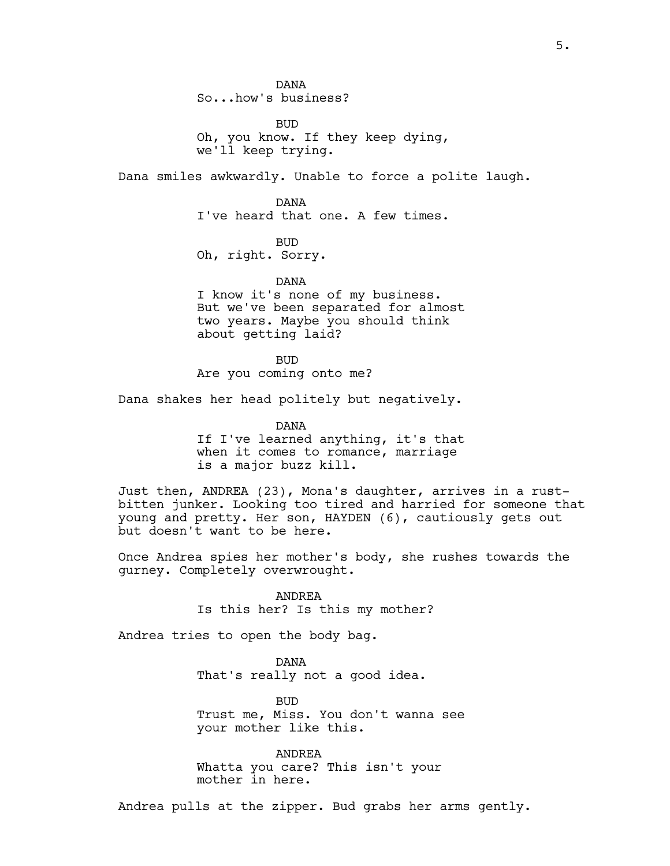DANA So...how's business?

BUD Oh, you know. If they keep dying, we'll keep trying.

Dana smiles awkwardly. Unable to force a polite laugh.

DANA I've heard that one. A few times.

BUD

Oh, right. Sorry.

DANA I know it's none of my business. But we've been separated for almost two years. Maybe you should think about getting laid?

BUD Are you coming onto me?

Dana shakes her head politely but negatively.

DANA If I've learned anything, it's that when it comes to romance, marriage is a major buzz kill.

Just then, ANDREA (23), Mona's daughter, arrives in a rustbitten junker. Looking too tired and harried for someone that young and pretty. Her son, HAYDEN (6), cautiously gets out but doesn't want to be here.

Once Andrea spies her mother's body, she rushes towards the gurney. Completely overwrought.

> ANDREA Is this her? Is this my mother?

Andrea tries to open the body bag.

DANA That's really not a good idea.

BUD Trust me, Miss. You don't wanna see your mother like this.

ANDREA Whatta you care? This isn't your mother in here.

Andrea pulls at the zipper. Bud grabs her arms gently.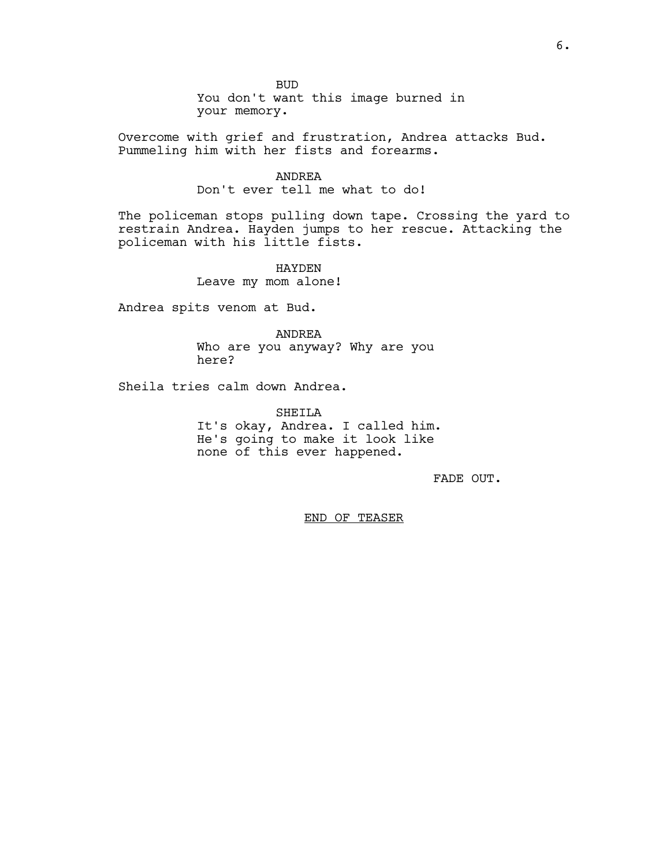BUD You don't want this image burned in your memory.

Overcome with grief and frustration, Andrea attacks Bud. Pummeling him with her fists and forearms.

## ANDREA

Don't ever tell me what to do!

The policeman stops pulling down tape. Crossing the yard to restrain Andrea. Hayden jumps to her rescue. Attacking the policeman with his little fists.

> HAYDEN Leave my mom alone!

Andrea spits venom at Bud.

ANDREA Who are you anyway? Why are you here?

Sheila tries calm down Andrea.

SHEILA It's okay, Andrea. I called him. He's going to make it look like none of this ever happened.

FADE OUT.

END OF TEASER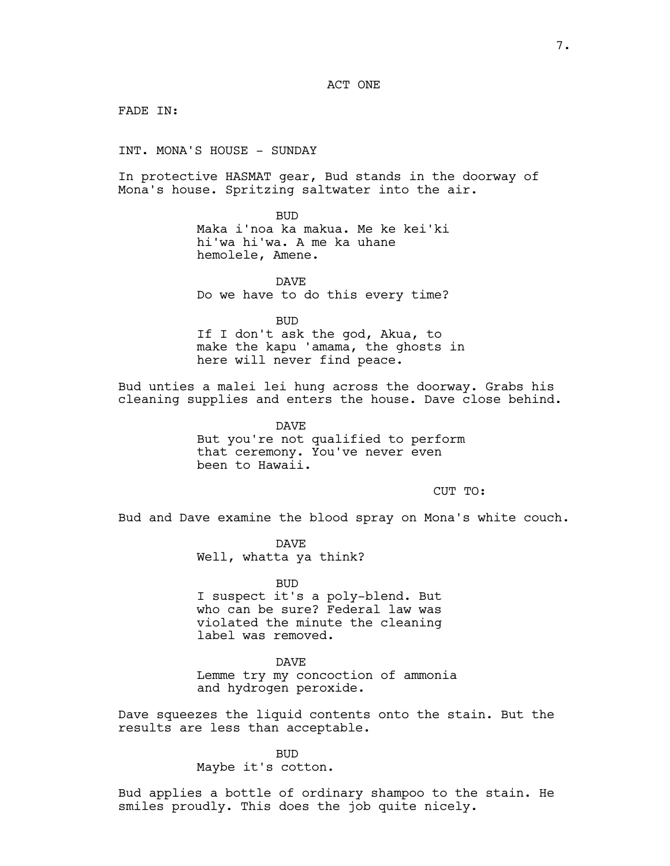ACT ONE

FADE IN:

INT. MONA'S HOUSE - SUNDAY

In protective HASMAT gear, Bud stands in the doorway of Mona's house. Spritzing saltwater into the air.

BUD

Maka i'noa ka makua. Me ke kei'ki hi'wa hi'wa. A me ka uhane hemolele, Amene.

DAVE Do we have to do this every time?

BUD

If I don't ask the god, Akua, to make the kapu 'amama, the ghosts in here will never find peace.

Bud unties a malei lei hung across the doorway. Grabs his cleaning supplies and enters the house. Dave close behind.

> DAVE But you're not qualified to perform that ceremony. You've never even been to Hawaii.

> > CUT TO:

Bud and Dave examine the blood spray on Mona's white couch.

DAVE Well, whatta ya think?

BUD I suspect it's a poly-blend. But who can be sure? Federal law was violated the minute the cleaning label was removed.

DAVE Lemme try my concoction of ammonia and hydrogen peroxide.

Dave squeezes the liquid contents onto the stain. But the results are less than acceptable.

> BUD Maybe it's cotton.

Bud applies a bottle of ordinary shampoo to the stain. He smiles proudly. This does the job quite nicely.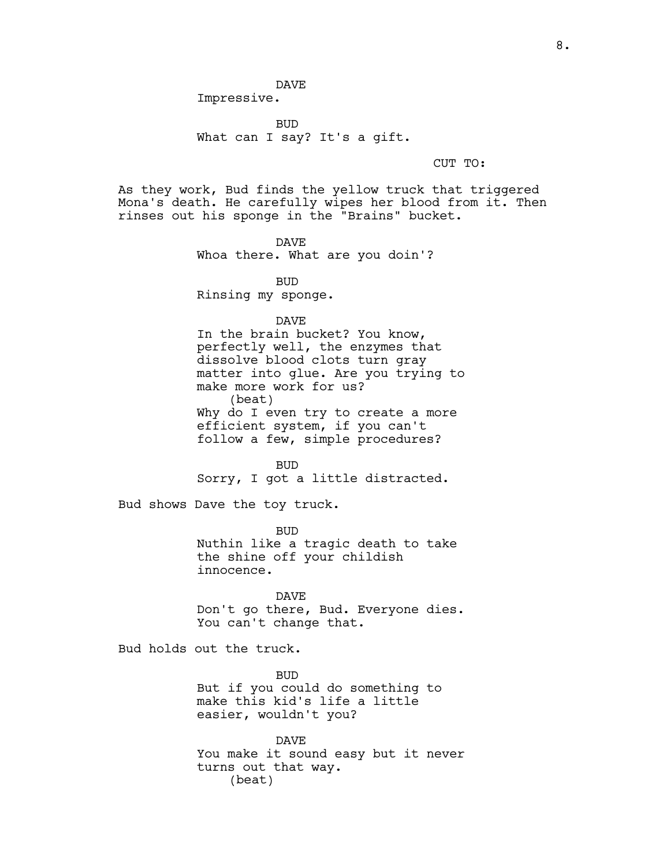DAVE

Impressive.

BUD What can I say? It's a gift.

CUT TO:

As they work, Bud finds the yellow truck that triggered Mona's death. He carefully wipes her blood from it. Then rinses out his sponge in the "Brains" bucket.

> DAVE Whoa there. What are you doin'?

> > BUD

Rinsing my sponge.

DAVE

In the brain bucket? You know, perfectly well, the enzymes that dissolve blood clots turn gray matter into glue. Are you trying to make more work for us? (beat) Why do I even try to create a more efficient system, if you can't follow a few, simple procedures?

BUD Sorry, I got a little distracted.

Bud shows Dave the toy truck.

BUD Nuthin like a tragic death to take the shine off your childish innocence.

DAVE Don't go there, Bud. Everyone dies. You can't change that.

Bud holds out the truck.

BUD But if you could do something to make this kid's life a little easier, wouldn't you?

DAVE You make it sound easy but it never turns out that way. (beat)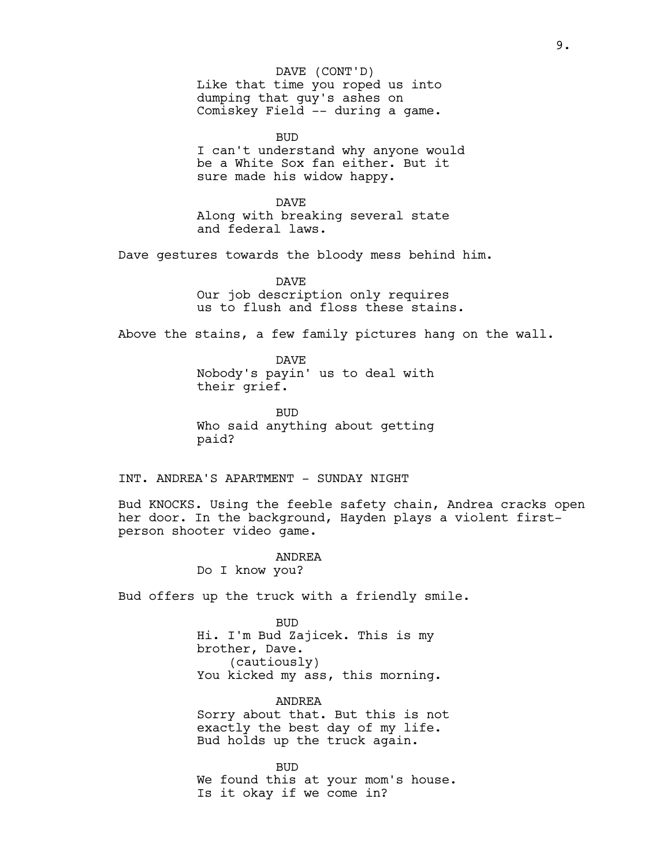Like that time you roped us into dumping that guy's ashes on Comiskey Field -- during a game. DAVE (CONT'D)

BUD I can't understand why anyone would be a White Sox fan either. But it sure made his widow happy.

DAVE Along with breaking several state and federal laws.

Dave gestures towards the bloody mess behind him.

DAVE Our job description only requires us to flush and floss these stains.

Above the stains, a few family pictures hang on the wall.

DAVE Nobody's payin' us to deal with their grief.

BUD Who said anything about getting paid?

INT. ANDREA'S APARTMENT - SUNDAY NIGHT

Bud KNOCKS. Using the feeble safety chain, Andrea cracks open her door. In the background, Hayden plays a violent firstperson shooter video game.

> ANDREA Do I know you?

Bud offers up the truck with a friendly smile.

BUD Hi. I'm Bud Zajicek. This is my brother, Dave. (cautiously) You kicked my ass, this morning.

ANDREA Sorry about that. But this is not exactly the best day of my life. Bud holds up the truck again.

BUD We found this at your mom's house. Is it okay if we come in?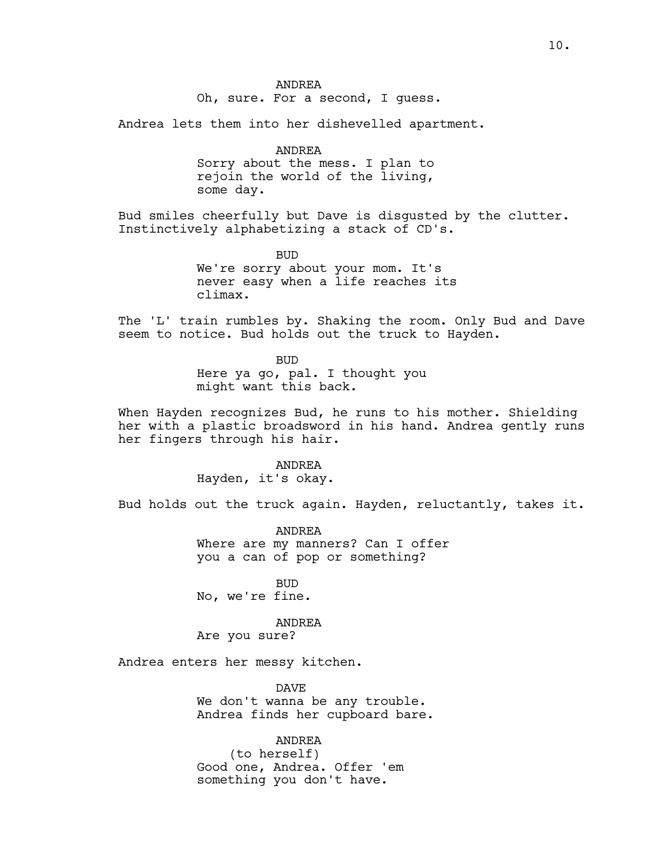ANDREA Oh, sure. For a second, I guess.

Andrea lets them into her dishevelled apartment.

ANDREA Sorry about the mess. I plan to rejoin the world of the living, some day.

Bud smiles cheerfully but Dave is disgusted by the clutter. Instinctively alphabetizing a stack of CD's.

> BUD We're sorry about your mom. It's never easy when a life reaches its climax.

The 'L' train rumbles by. Shaking the room. Only Bud and Dave seem to notice. Bud holds out the truck to Hayden.

> BUD Here ya go, pal. I thought you might want this back.

When Hayden recognizes Bud, he runs to his mother. Shielding her with a plastic broadsword in his hand. Andrea gently runs her fingers through his hair.

> ANDREA Hayden, it's okay.

Bud holds out the truck again. Hayden, reluctantly, takes it.

ANDREA Where are my manners? Can I offer you a can of pop or something?

BUD No, we're fine.

## ANDREA

Are you sure?

Andrea enters her messy kitchen.

DAVE We don't wanna be any trouble. Andrea finds her cupboard bare.

ANDREA (to herself) Good one, Andrea. Offer 'em something you don't have.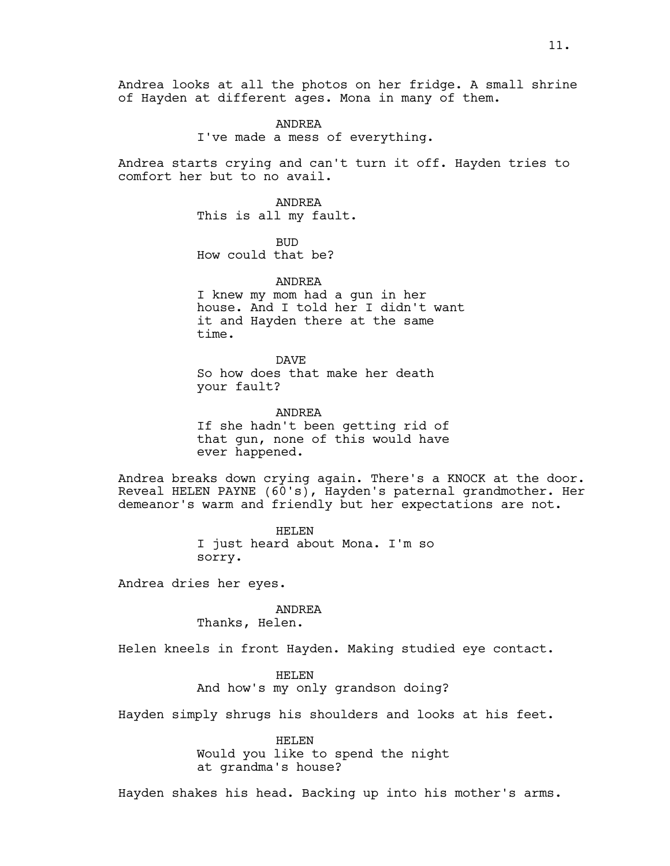Andrea looks at all the photos on her fridge. A small shrine of Hayden at different ages. Mona in many of them.

> ANDREA I've made a mess of everything.

Andrea starts crying and can't turn it off. Hayden tries to comfort her but to no avail.

> ANDREA This is all my fault.

BUD How could that be?

ANDREA I knew my mom had a gun in her house. And I told her I didn't want it and Hayden there at the same time.

DAVE So how does that make her death your fault?

ANDREA If she hadn't been getting rid of that gun, none of this would have ever happened.

Andrea breaks down crying again. There's a KNOCK at the door. Reveal HELEN PAYNE (60's), Hayden's paternal grandmother. Her demeanor's warm and friendly but her expectations are not.

> HELEN I just heard about Mona. I'm so sorry.

Andrea dries her eyes.

ANDREA

Thanks, Helen.

Helen kneels in front Hayden. Making studied eye contact.

HELEN And how's my only grandson doing?

Hayden simply shrugs his shoulders and looks at his feet.

HELEN Would you like to spend the night at grandma's house?

Hayden shakes his head. Backing up into his mother's arms.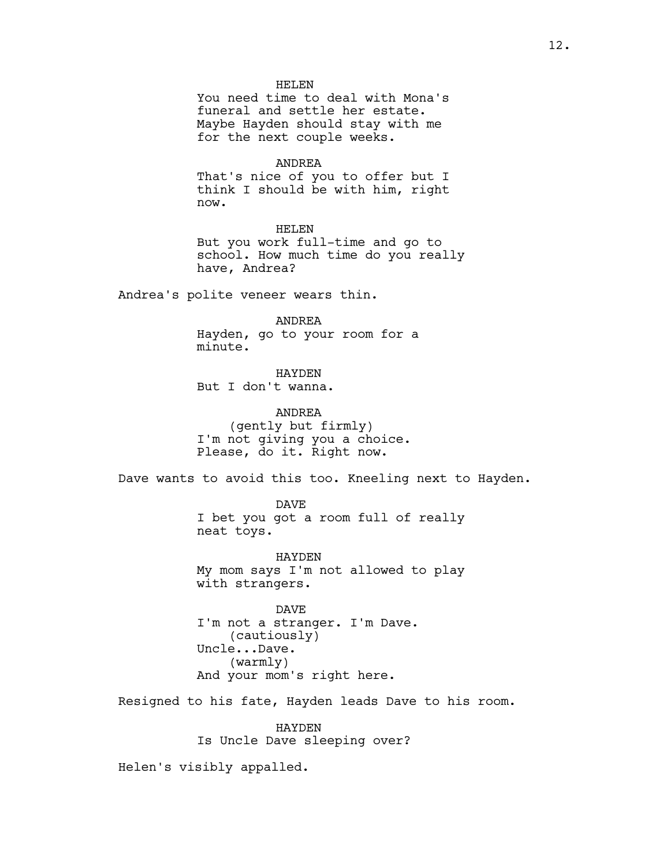### HELEN

You need time to deal with Mona's funeral and settle her estate. Maybe Hayden should stay with me for the next couple weeks.

ANDREA

That's nice of you to offer but I think I should be with him, right now.

HELEN

But you work full-time and go to school. How much time do you really have, Andrea?

Andrea's polite veneer wears thin.

ANDREA

Hayden, go to your room for a minute.

HAYDEN But I don't wanna.

ANDREA (gently but firmly) I'm not giving you a choice. Please, do it. Right now.

Dave wants to avoid this too. Kneeling next to Hayden.

DAVE I bet you got a room full of really neat toys.

HAYDEN My mom says I'm not allowed to play with strangers.

DAVE I'm not a stranger. I'm Dave. (cautiously) Uncle...Dave. (warmly) And your mom's right here.

Resigned to his fate, Hayden leads Dave to his room.

HAYDEN Is Uncle Dave sleeping over?

Helen's visibly appalled.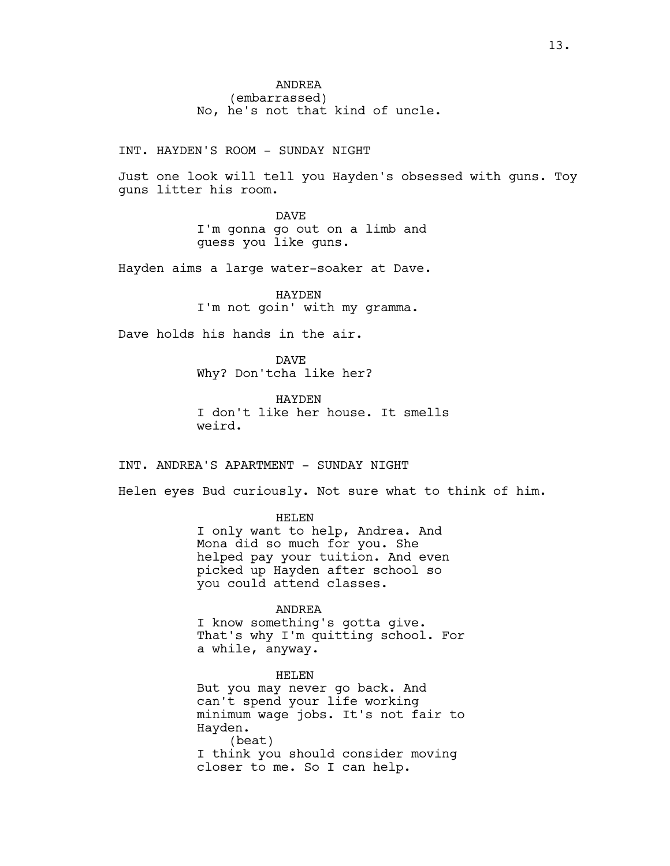INT. HAYDEN'S ROOM - SUNDAY NIGHT

Just one look will tell you Hayden's obsessed with guns. Toy guns litter his room.

> DAVE I'm gonna go out on a limb and guess you like guns.

Hayden aims a large water-soaker at Dave.

HAYDEN I'm not goin' with my gramma.

Dave holds his hands in the air.

DAVE Why? Don'tcha like her?

HAYDEN I don't like her house. It smells weird.

INT. ANDREA'S APARTMENT - SUNDAY NIGHT

Helen eyes Bud curiously. Not sure what to think of him.

HELEN

I only want to help, Andrea. And Mona did so much for you. She helped pay your tuition. And even picked up Hayden after school so you could attend classes.

## ANDREA

I know something's gotta give. That's why I'm quitting school. For a while, anyway.

HELEN But you may never go back. And can't spend your life working minimum wage jobs. It's not fair to Hayden. (beat) I think you should consider moving closer to me. So I can help.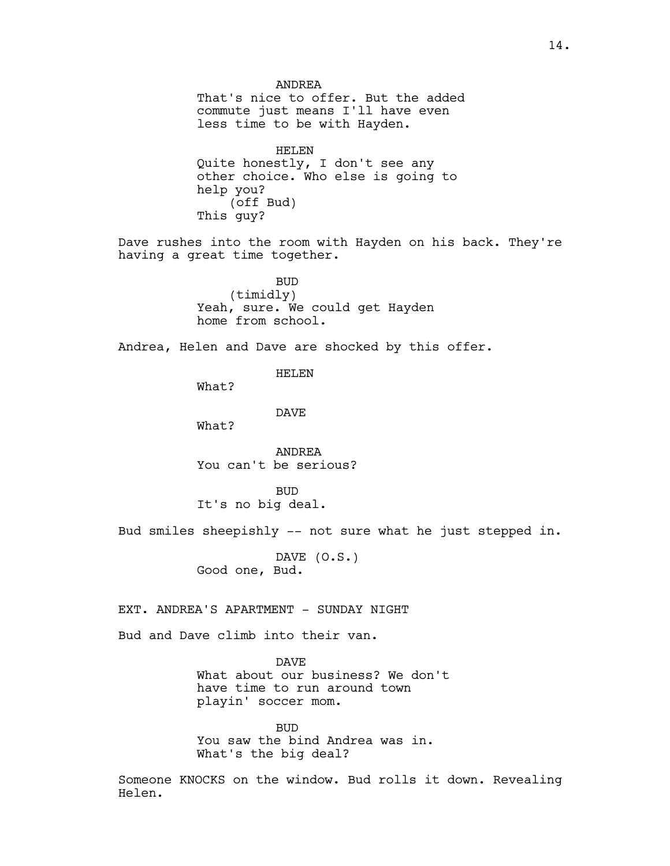ANDREA That's nice to offer. But the added commute just means I'll have even less time to be with Hayden. HELEN Quite honestly, I don't see any other choice. Who else is going to help you? (off Bud) This guy? Dave rushes into the room with Hayden on his back. They're having a great time together. BUD (timidly) Yeah, sure. We could get Hayden home from school. Andrea, Helen and Dave are shocked by this offer. HELEN What? DAVE What? ANDREA You can't be serious? BUD It's no big deal. Bud smiles sheepishly -- not sure what he just stepped in. DAVE (O.S.) Good one, Bud. EXT. ANDREA'S APARTMENT - SUNDAY NIGHT Bud and Dave climb into their van. DAVE What about our business? We don't have time to run around town playin' soccer mom. BUD

You saw the bind Andrea was in. What's the big deal?

Someone KNOCKS on the window. Bud rolls it down. Revealing Helen.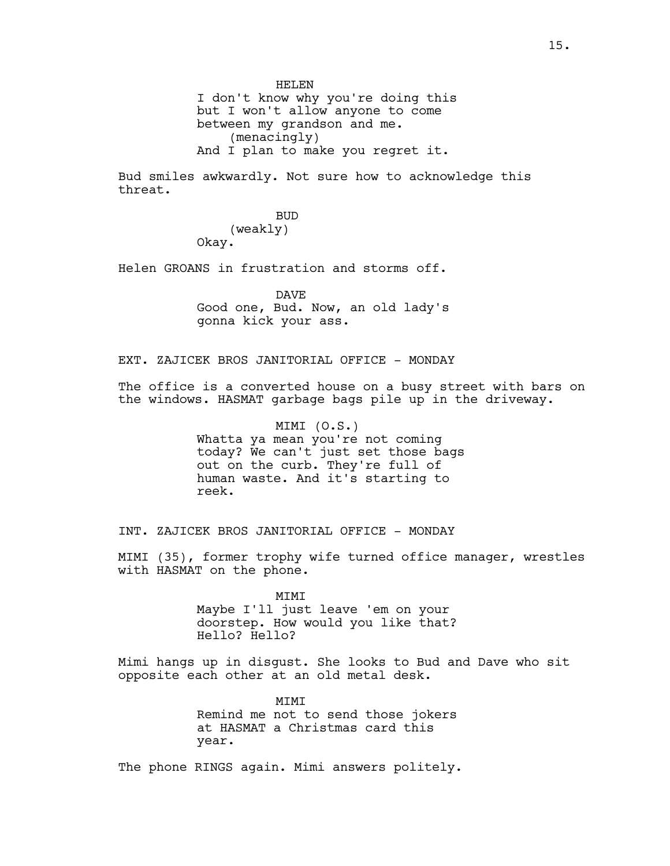HELEN I don't know why you're doing this but I won't allow anyone to come between my grandson and me. (menacingly) And I plan to make you regret it.

Bud smiles awkwardly. Not sure how to acknowledge this threat.

> BUD (weakly) Okay.

Helen GROANS in frustration and storms off.

DAVE Good one, Bud. Now, an old lady's gonna kick your ass.

EXT. ZAJICEK BROS JANITORIAL OFFICE - MONDAY

The office is a converted house on a busy street with bars on the windows. HASMAT garbage bags pile up in the driveway.

> MIMI (O.S.) Whatta ya mean you're not coming today? We can't just set those bags out on the curb. They're full of human waste. And it's starting to reek.

INT. ZAJICEK BROS JANITORIAL OFFICE - MONDAY

MIMI (35), former trophy wife turned office manager, wrestles with HASMAT on the phone.

> MIMI Maybe I'll just leave 'em on your doorstep. How would you like that? Hello? Hello?

Mimi hangs up in disgust. She looks to Bud and Dave who sit opposite each other at an old metal desk.

> **MTMT** Remind me not to send those jokers at HASMAT a Christmas card this year.

The phone RINGS again. Mimi answers politely.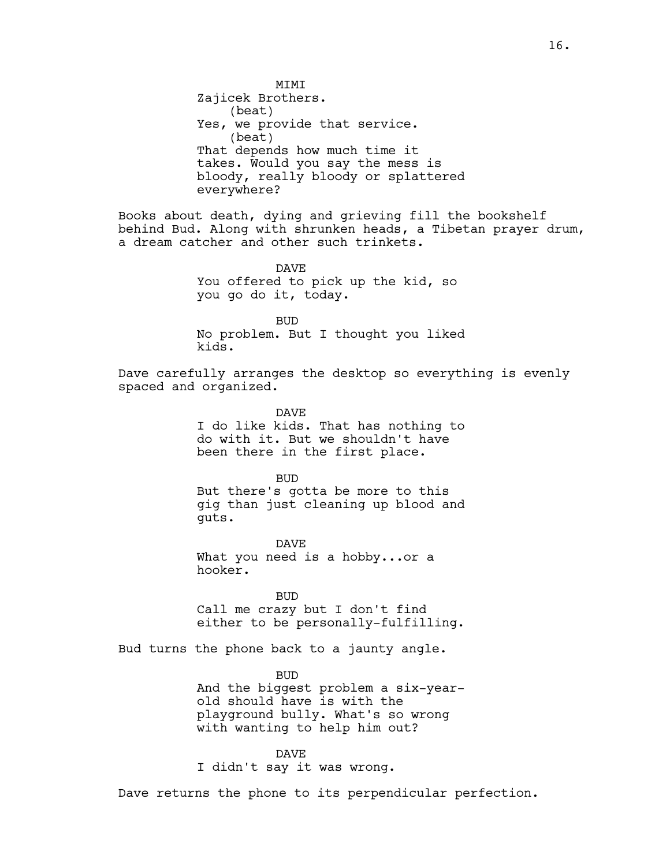**MTMT** Zajicek Brothers. (beat) Yes, we provide that service. (beat) That depends how much time it takes. Would you say the mess is bloody, really bloody or splattered everywhere?

Books about death, dying and grieving fill the bookshelf behind Bud. Along with shrunken heads, a Tibetan prayer drum, a dream catcher and other such trinkets.

> DAVE You offered to pick up the kid, so you go do it, today.

BUD No problem. But I thought you liked kids.

Dave carefully arranges the desktop so everything is evenly spaced and organized.

> DAVE I do like kids. That has nothing to do with it. But we shouldn't have been there in the first place.

> BUD But there's gotta be more to this gig than just cleaning up blood and guts.

DAVE What you need is a hobby...or a hooker.

BUD Call me crazy but I don't find either to be personally-fulfilling.

Bud turns the phone back to a jaunty angle.

BUD And the biggest problem a six-yearold should have is with the playground bully. What's so wrong with wanting to help him out?

DAVE I didn't say it was wrong.

Dave returns the phone to its perpendicular perfection.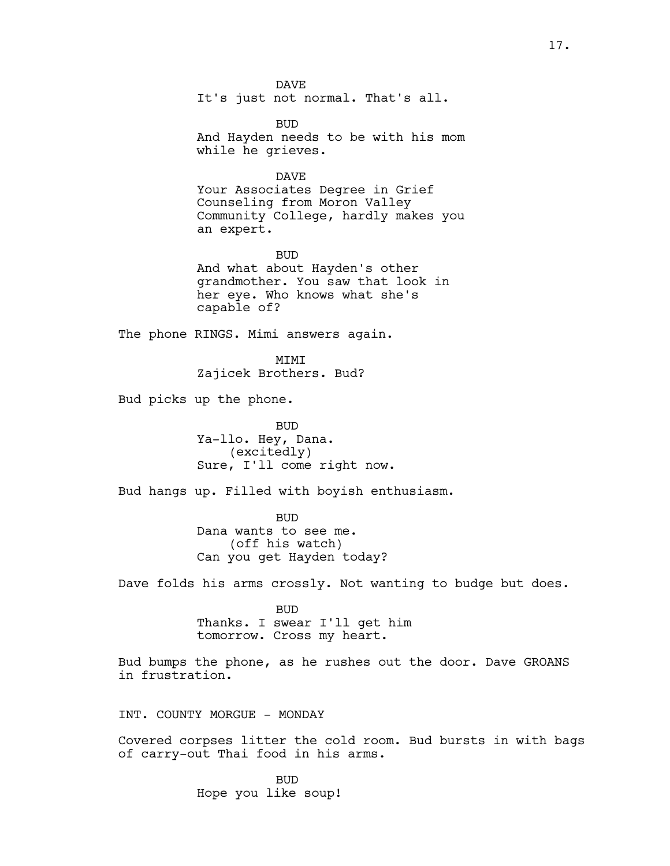DAVE It's just not normal. That's all.

BUD And Hayden needs to be with his mom while he grieves.

DAVE

Your Associates Degree in Grief Counseling from Moron Valley Community College, hardly makes you an expert.

BUD And what about Hayden's other grandmother. You saw that look in her eye. Who knows what she's capable of?

The phone RINGS. Mimi answers again.

MIMI Zajicek Brothers. Bud?

Bud picks up the phone.

BUD Ya-llo. Hey, Dana. (excitedly) Sure, I'll come right now.

Bud hangs up. Filled with boyish enthusiasm.

BUD Dana wants to see me. (off his watch) Can you get Hayden today?

Dave folds his arms crossly. Not wanting to budge but does.

BUD Thanks. I swear I'll get him tomorrow. Cross my heart.

Bud bumps the phone, as he rushes out the door. Dave GROANS in frustration.

INT. COUNTY MORGUE - MONDAY

Covered corpses litter the cold room. Bud bursts in with bags of carry-out Thai food in his arms.

> BUD Hope you like soup!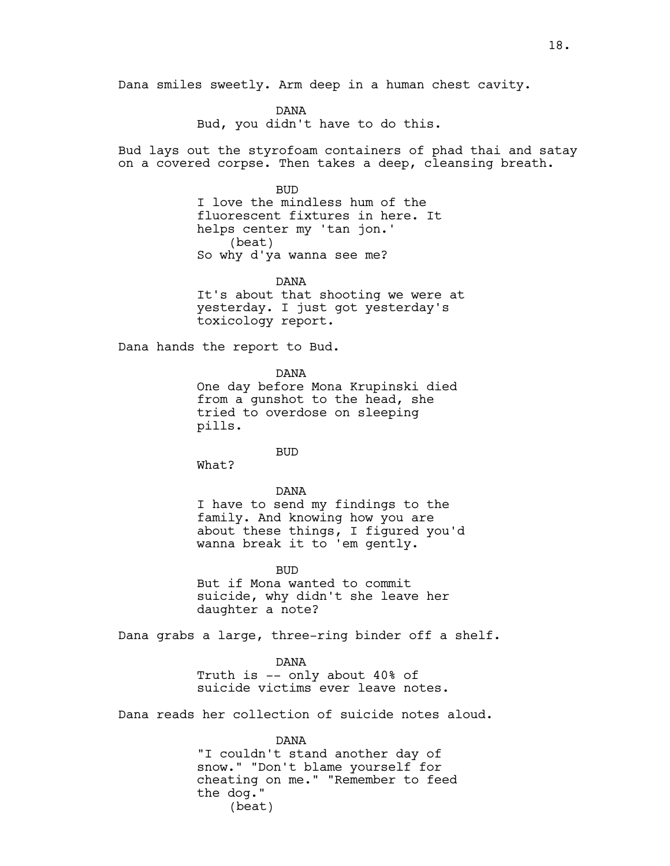Dana smiles sweetly. Arm deep in a human chest cavity.

DANA Bud, you didn't have to do this.

Bud lays out the styrofoam containers of phad thai and satay on a covered corpse. Then takes a deep, cleansing breath.

> BUD I love the mindless hum of the fluorescent fixtures in here. It helps center my 'tan jon.' (beat) So why d'ya wanna see me?

DANA It's about that shooting we were at yesterday. I just got yesterday's toxicology report.

Dana hands the report to Bud.

DANA

One day before Mona Krupinski died from a gunshot to the head, she tried to overdose on sleeping pills.

BUD

What?

DANA I have to send my findings to the family. And knowing how you are about these things, I figured you'd wanna break it to 'em gently.

**BUD** But if Mona wanted to commit suicide, why didn't she leave her daughter a note?

Dana grabs a large, three-ring binder off a shelf.

DANA Truth is -- only about 40% of suicide victims ever leave notes.

Dana reads her collection of suicide notes aloud.

DANA "I couldn't stand another day of snow." "Don't blame yourself for cheating on me." "Remember to feed the dog." (beat)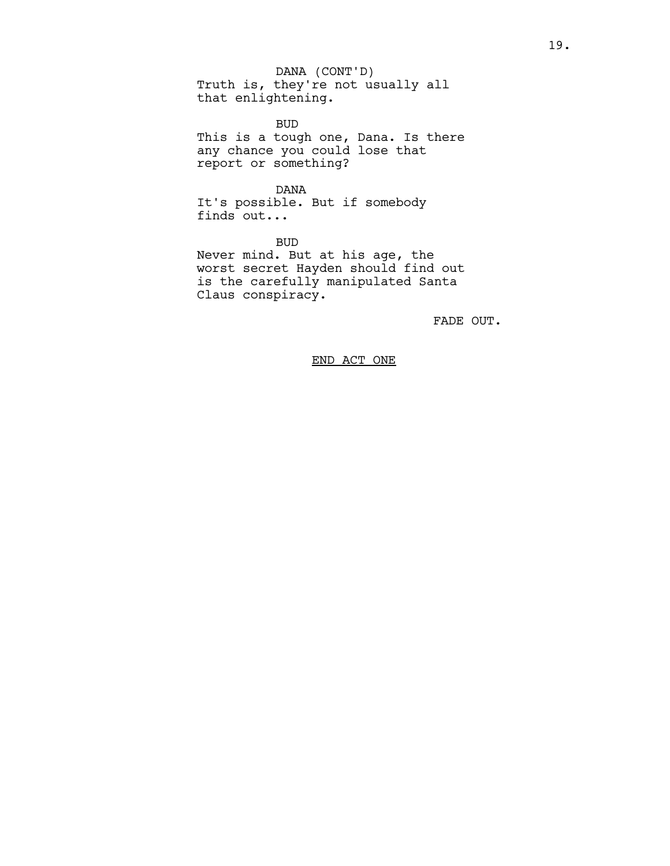Truth is, they're not usually all that enlightening. DANA (CONT'D)

BUD This is a tough one, Dana. Is there any chance you could lose that report or something?

DANA It's possible. But if somebody finds out...

BUD Never mind. But at his age, the worst secret Hayden should find out is the carefully manipulated Santa Claus conspiracy.

FADE OUT.

END ACT ONE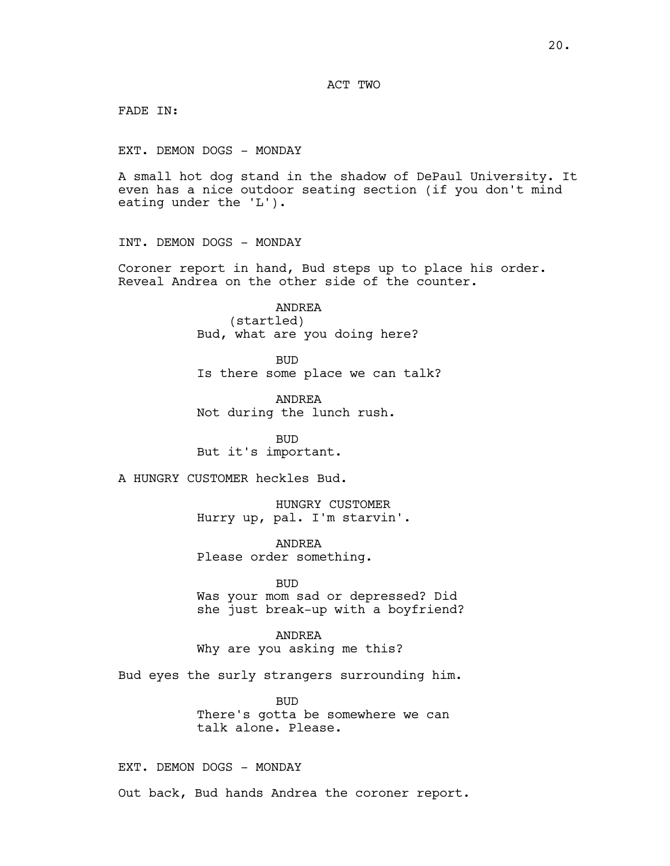FADE IN:

EXT. DEMON DOGS - MONDAY

A small hot dog stand in the shadow of DePaul University. It even has a nice outdoor seating section (if you don't mind eating under the 'L').

INT. DEMON DOGS - MONDAY

Coroner report in hand, Bud steps up to place his order. Reveal Andrea on the other side of the counter.

> ANDREA (startled) Bud, what are you doing here?

BUD Is there some place we can talk?

ANDREA Not during the lunch rush.

BUD But it's important.

A HUNGRY CUSTOMER heckles Bud.

HUNGRY CUSTOMER Hurry up, pal. I'm starvin'.

ANDREA Please order something.

BUD Was your mom sad or depressed? Did she just break-up with a boyfriend?

ANDREA Why are you asking me this?

Bud eyes the surly strangers surrounding him.

BUD There's gotta be somewhere we can talk alone. Please.

EXT. DEMON DOGS - MONDAY

Out back, Bud hands Andrea the coroner report.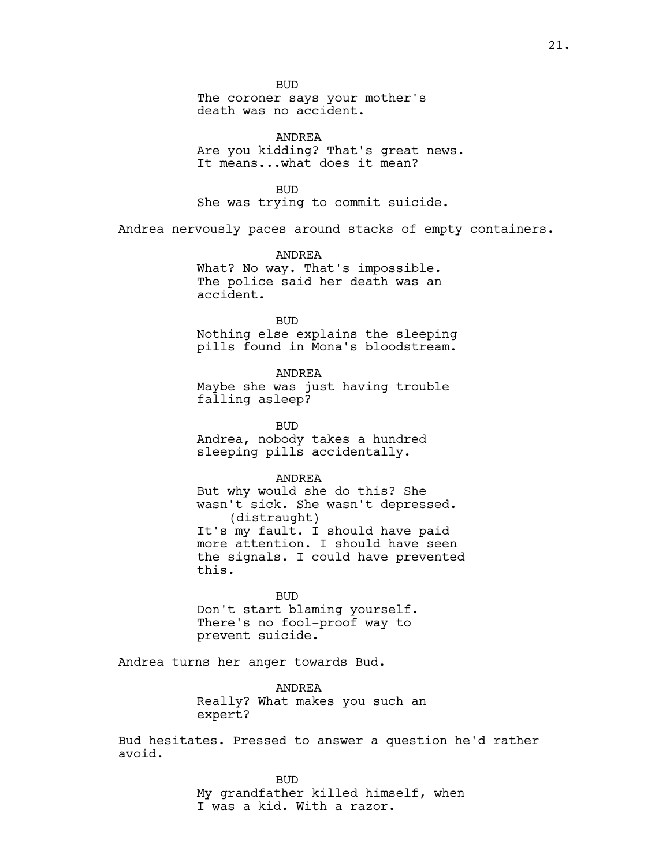BUD

The coroner says your mother's death was no accident.

ANDREA Are you kidding? That's great news. It means...what does it mean?

BUD She was trying to commit suicide.

Andrea nervously paces around stacks of empty containers.

ANDREA What? No way. That's impossible. The police said her death was an accident.

BUD Nothing else explains the sleeping pills found in Mona's bloodstream.

ANDREA Maybe she was just having trouble falling asleep?

BUD Andrea, nobody takes a hundred sleeping pills accidentally.

ANDREA

But why would she do this? She wasn't sick. She wasn't depressed. (distraught) It's my fault. I should have paid more attention. I should have seen the signals. I could have prevented this.

BUD Don't start blaming yourself. There's no fool-proof way to prevent suicide.

Andrea turns her anger towards Bud.

ANDREA Really? What makes you such an expert?

Bud hesitates. Pressed to answer a question he'd rather avoid.

> BUD My grandfather killed himself, when I was a kid. With a razor.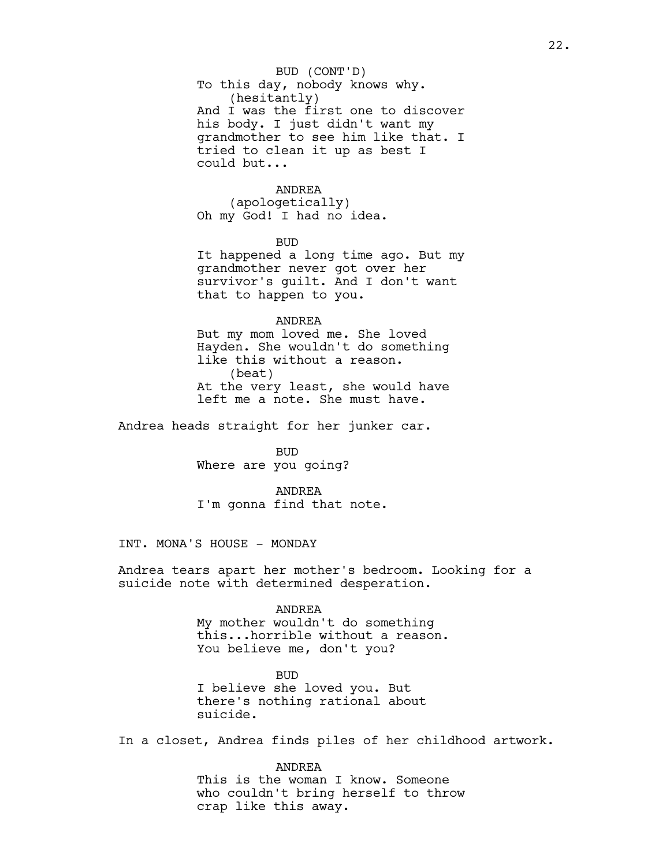## To this day, nobody knows why. (hesitantly) And I was the first one to discover his body. I just didn't want my grandmother to see him like that. I tried to clean it up as best I could but... BUD (CONT'D)

## ANDREA

(apologetically) Oh my God! I had no idea.

BUD

It happened a long time ago. But my grandmother never got over her survivor's guilt. And I don't want that to happen to you.

ANDREA

But my mom loved me. She loved Hayden. She wouldn't do something like this without a reason. (beat) At the very least, she would have left me a note. She must have.

Andrea heads straight for her junker car.

BUD Where are you going?

ANDREA I'm gonna find that note.

INT. MONA'S HOUSE - MONDAY

Andrea tears apart her mother's bedroom. Looking for a suicide note with determined desperation.

## ANDREA

My mother wouldn't do something this...horrible without a reason. You believe me, don't you?

BUD I believe she loved you. But there's nothing rational about suicide.

In a closet, Andrea finds piles of her childhood artwork.

ANDREA This is the woman I know. Someone who couldn't bring herself to throw crap like this away.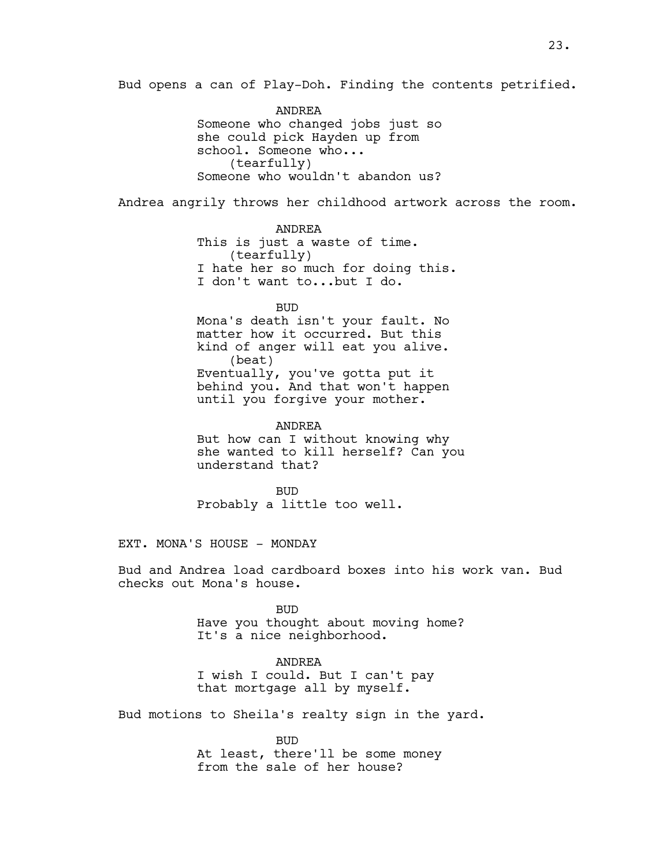Bud opens a can of Play-Doh. Finding the contents petrified.

ANDREA Someone who changed jobs just so she could pick Hayden up from school. Someone who... (tearfully) Someone who wouldn't abandon us?

Andrea angrily throws her childhood artwork across the room.

ANDREA This is just a waste of time. (tearfully) I hate her so much for doing this. I don't want to...but I do.

BUD Mona's death isn't your fault. No matter how it occurred. But this kind of anger will eat you alive. (beat) Eventually, you've gotta put it behind you. And that won't happen until you forgive your mother.

ANDREA But how can I without knowing why she wanted to kill herself? Can you understand that?

BUD Probably a little too well.

EXT. MONA'S HOUSE - MONDAY

Bud and Andrea load cardboard boxes into his work van. Bud checks out Mona's house.

> BUD Have you thought about moving home? It's a nice neighborhood.

> > ANDREA

I wish I could. But I can't pay that mortgage all by myself.

Bud motions to Sheila's realty sign in the yard.

BUD At least, there'll be some money from the sale of her house?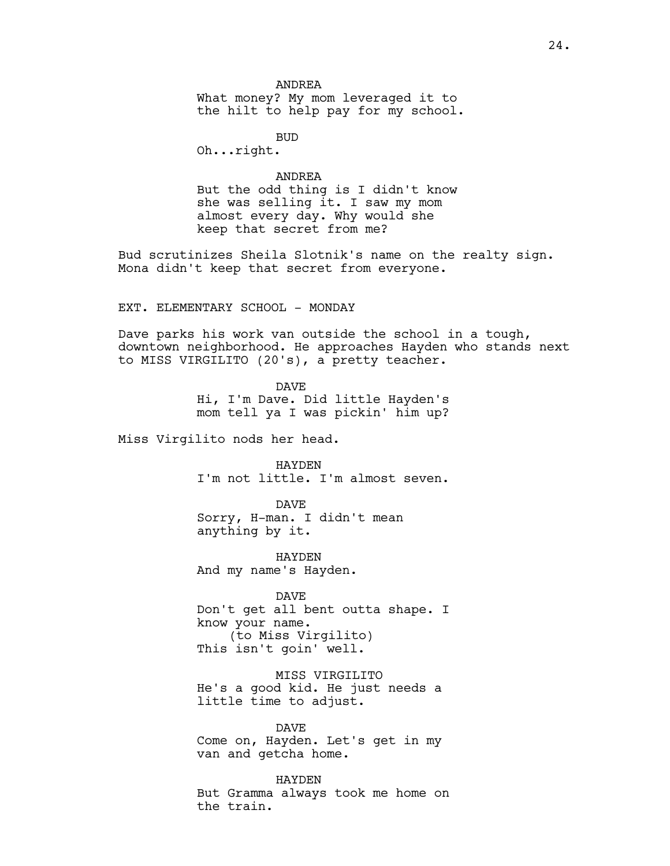BUD

Oh...right.

## ANDREA

But the odd thing is I didn't know she was selling it. I saw my mom almost every day. Why would she keep that secret from me?

Bud scrutinizes Sheila Slotnik's name on the realty sign. Mona didn't keep that secret from everyone.

EXT. ELEMENTARY SCHOOL - MONDAY

Dave parks his work van outside the school in a tough, downtown neighborhood. He approaches Hayden who stands next to MISS VIRGILITO (20's), a pretty teacher.

> DAVE Hi, I'm Dave. Did little Hayden's mom tell ya I was pickin' him up?

Miss Virgilito nods her head.

HAYDEN I'm not little. I'm almost seven.

DAVE Sorry, H-man. I didn't mean anything by it.

HAYDEN And my name's Hayden.

DAVE Don't get all bent outta shape. I know your name. (to Miss Virgilito) This isn't goin' well.

MISS VIRGILITO He's a good kid. He just needs a little time to adjust.

DAVE Come on, Hayden. Let's get in my van and getcha home.

HAYDEN But Gramma always took me home on the train.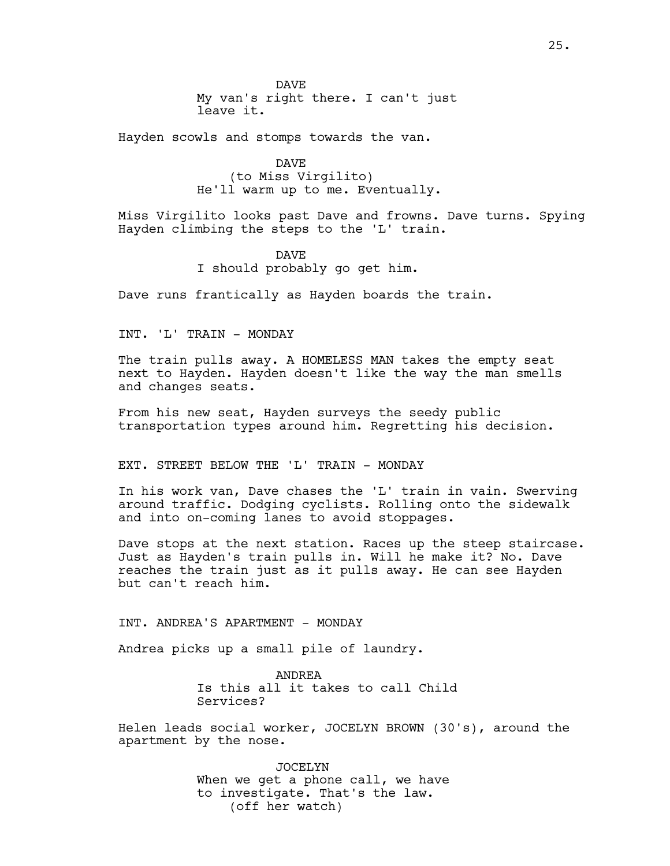DAVE My van's right there. I can't just leave it.

Hayden scowls and stomps towards the van.

DAVE (to Miss Virgilito) He'll warm up to me. Eventually.

Miss Virgilito looks past Dave and frowns. Dave turns. Spying Hayden climbing the steps to the 'L' train.

> DAVE I should probably go get him.

Dave runs frantically as Hayden boards the train.

INT. 'L' TRAIN - MONDAY

The train pulls away. A HOMELESS MAN takes the empty seat next to Hayden. Hayden doesn't like the way the man smells and changes seats.

From his new seat, Hayden surveys the seedy public transportation types around him. Regretting his decision.

EXT. STREET BELOW THE 'L' TRAIN - MONDAY

In his work van, Dave chases the 'L' train in vain. Swerving around traffic. Dodging cyclists. Rolling onto the sidewalk and into on-coming lanes to avoid stoppages.

Dave stops at the next station. Races up the steep staircase. Just as Hayden's train pulls in. Will he make it? No. Dave reaches the train just as it pulls away. He can see Hayden but can't reach him.

INT. ANDREA'S APARTMENT - MONDAY

Andrea picks up a small pile of laundry.

ANDREA Is this all it takes to call Child Services?

Helen leads social worker, JOCELYN BROWN (30's), around the apartment by the nose.

> JOCELYN When we get a phone call, we have to investigate. That's the law. (off her watch)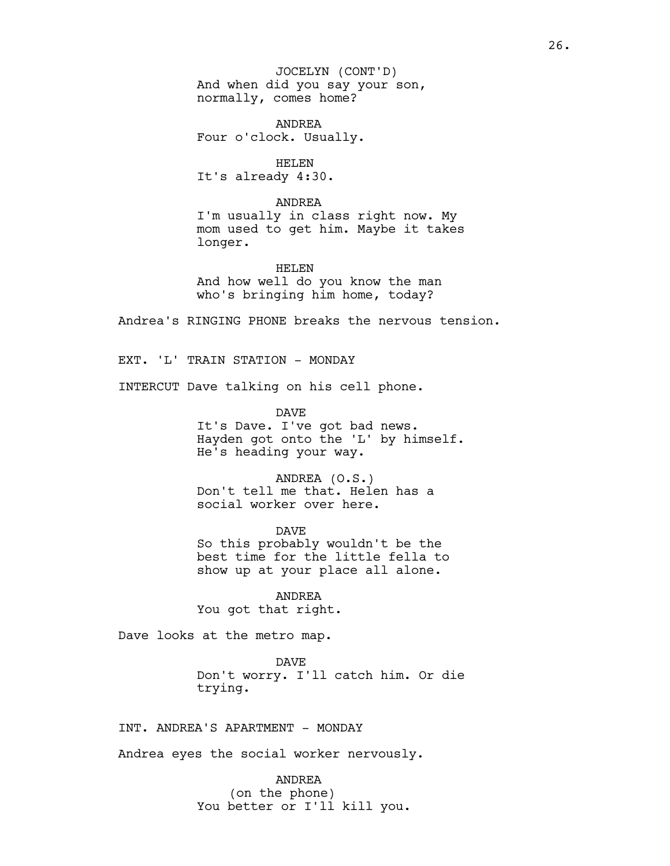And when did you say your son, normally, comes home? JOCELYN (CONT'D)

ANDREA Four o'clock. Usually.

HELEN It's already 4:30.

#### ANDREA

I'm usually in class right now. My mom used to get him. Maybe it takes longer.

HELEN And how well do you know the man who's bringing him home, today?

Andrea's RINGING PHONE breaks the nervous tension.

EXT. 'L' TRAIN STATION - MONDAY

INTERCUT Dave talking on his cell phone.

DAVE

It's Dave. I've got bad news. Hayden got onto the 'L' by himself. He's heading your way.

ANDREA (O.S.) Don't tell me that. Helen has a social worker over here.

DAVE So this probably wouldn't be the best time for the little fella to show up at your place all alone.

ANDREA You got that right.

Dave looks at the metro map.

DAVE Don't worry. I'll catch him. Or die trying.

INT. ANDREA'S APARTMENT - MONDAY

Andrea eyes the social worker nervously.

ANDREA (on the phone) You better or I'll kill you.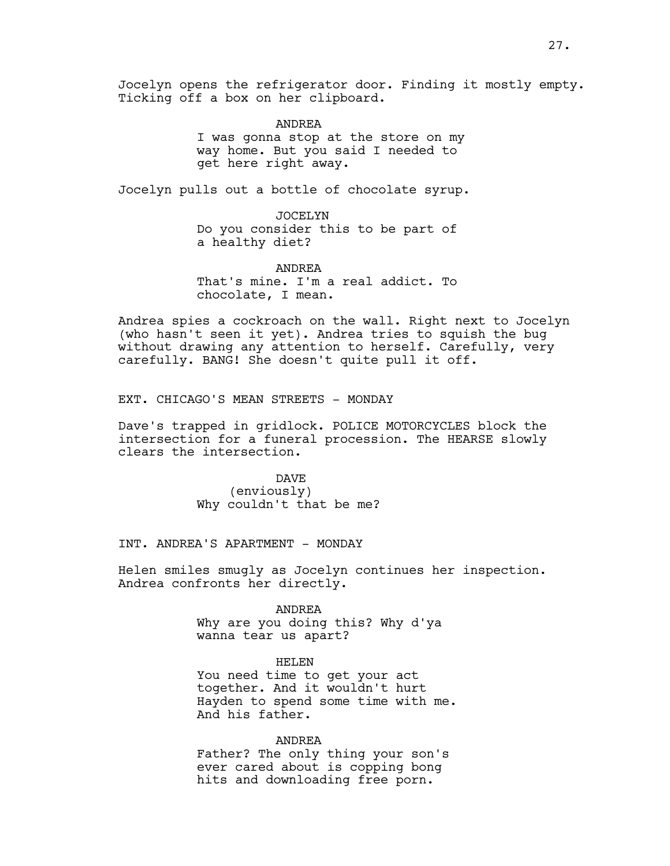Jocelyn opens the refrigerator door. Finding it mostly empty. Ticking off a box on her clipboard.

> ANDREA I was gonna stop at the store on my way home. But you said I needed to get here right away.

Jocelyn pulls out a bottle of chocolate syrup.

JOCELYN Do you consider this to be part of a healthy diet?

ANDREA That's mine. I'm a real addict. To chocolate, I mean.

Andrea spies a cockroach on the wall. Right next to Jocelyn (who hasn't seen it yet). Andrea tries to squish the bug without drawing any attention to herself. Carefully, very carefully. BANG! She doesn't quite pull it off.

EXT. CHICAGO'S MEAN STREETS - MONDAY

Dave's trapped in gridlock. POLICE MOTORCYCLES block the intersection for a funeral procession. The HEARSE slowly clears the intersection.

> DAVE (enviously) Why couldn't that be me?

INT. ANDREA'S APARTMENT - MONDAY

Helen smiles smugly as Jocelyn continues her inspection. Andrea confronts her directly.

> ANDREA Why are you doing this? Why d'ya wanna tear us apart?

> > HELEN

You need time to get your act together. And it wouldn't hurt Hayden to spend some time with me. And his father.

#### ANDREA

Father? The only thing your son's ever cared about is copping bong hits and downloading free porn.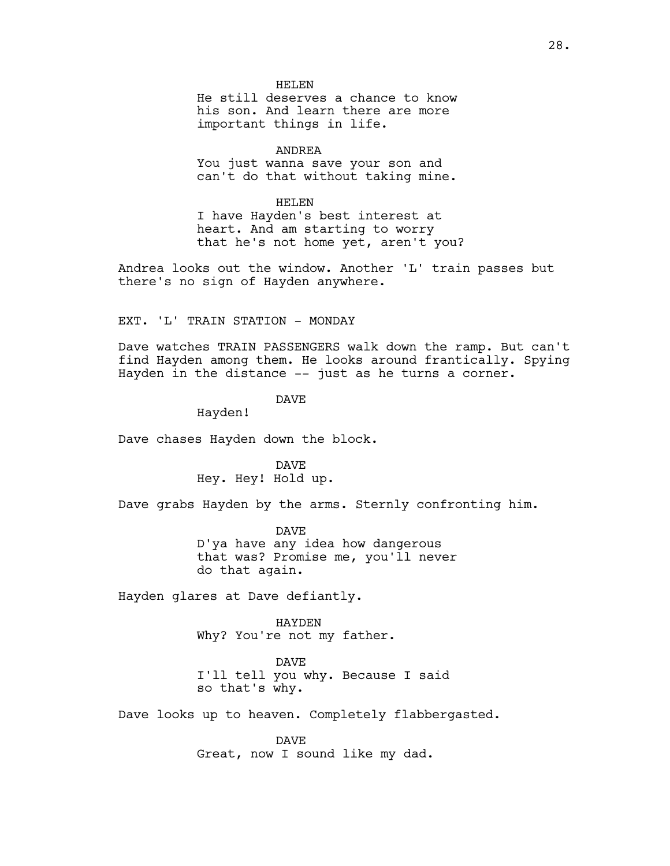HELEN

He still deserves a chance to know his son. And learn there are more important things in life.

ANDREA You just wanna save your son and can't do that without taking mine.

HELEN I have Hayden's best interest at heart. And am starting to worry that he's not home yet, aren't you?

Andrea looks out the window. Another 'L' train passes but there's no sign of Hayden anywhere.

EXT. 'L' TRAIN STATION - MONDAY

Dave watches TRAIN PASSENGERS walk down the ramp. But can't find Hayden among them. He looks around frantically. Spying Hayden in the distance -- just as he turns a corner.

DAVE

Hayden!

Dave chases Hayden down the block.

DAVE Hey. Hey! Hold up.

Dave grabs Hayden by the arms. Sternly confronting him.

DAVE D'ya have any idea how dangerous that was? Promise me, you'll never do that again.

Hayden glares at Dave defiantly.

HAYDEN Why? You're not my father.

DAVE I'll tell you why. Because I said

so that's why.

Dave looks up to heaven. Completely flabbergasted.

DAVE Great, now I sound like my dad.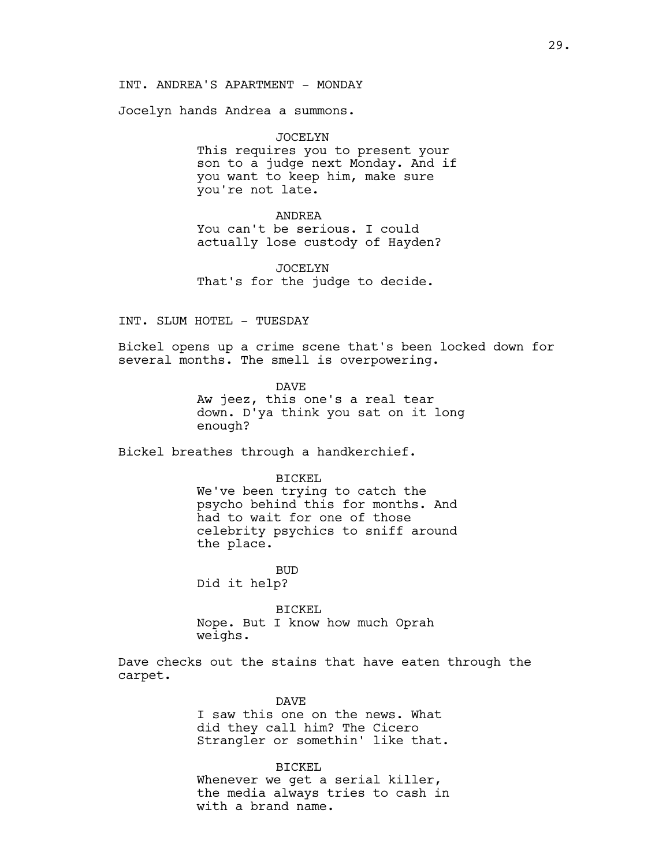INT. ANDREA'S APARTMENT - MONDAY

Jocelyn hands Andrea a summons.

JOCELYN This requires you to present your son to a judge next Monday. And if you want to keep him, make sure you're not late.

#### ANDREA

You can't be serious. I could actually lose custody of Hayden?

JOCELYN That's for the judge to decide.

INT. SLUM HOTEL - TUESDAY

Bickel opens up a crime scene that's been locked down for several months. The smell is overpowering.

> DAVE Aw jeez, this one's a real tear down. D'ya think you sat on it long enough?

Bickel breathes through a handkerchief.

#### BICKEL

We've been trying to catch the psycho behind this for months. And had to wait for one of those celebrity psychics to sniff around the place.

BUD Did it help?

BICKEL Nope. But I know how much Oprah weighs.

Dave checks out the stains that have eaten through the carpet.

#### DAVE

I saw this one on the news. What did they call him? The Cicero Strangler or somethin' like that.

BICKEL

Whenever we get a serial killer, the media always tries to cash in with a brand name.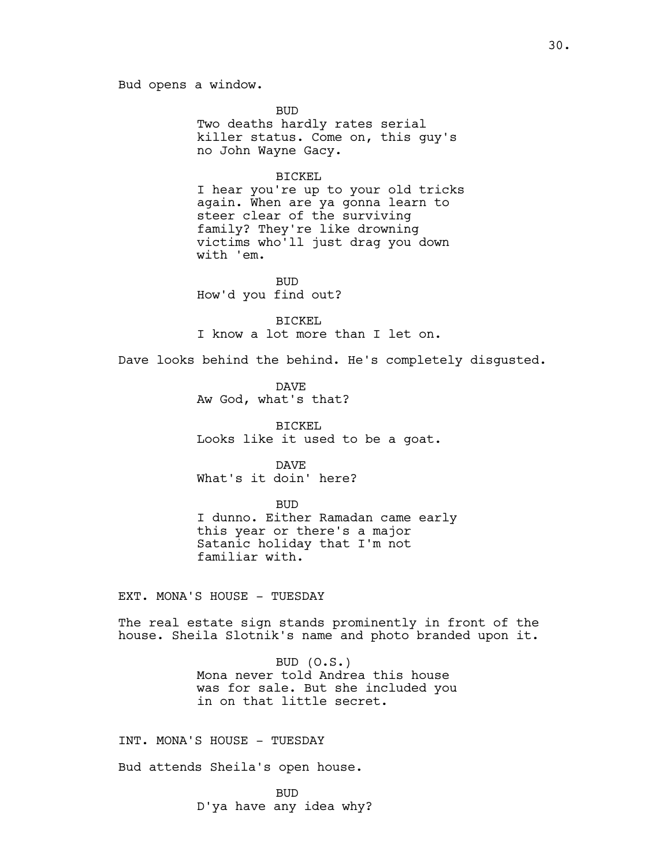BUD Two deaths hardly rates serial killer status. Come on, this guy's no John Wayne Gacy.

## BICKEL

I hear you're up to your old tricks again. When are ya gonna learn to steer clear of the surviving family? They're like drowning victims who'll just drag you down with 'em.

BUD How'd you find out?

BICKEL I know a lot more than I let on.

Dave looks behind the behind. He's completely disgusted.

DAVE Aw God, what's that?

BICKEL Looks like it used to be a goat.

DAVE What's it doin' here?

## BUD

I dunno. Either Ramadan came early this year or there's a major Satanic holiday that I'm not familiar with.

EXT. MONA'S HOUSE - TUESDAY

The real estate sign stands prominently in front of the house. Sheila Slotnik's name and photo branded upon it.

> BUD (O.S.) Mona never told Andrea this house was for sale. But she included you in on that little secret.

INT. MONA'S HOUSE - TUESDAY

Bud attends Sheila's open house.

BUD D'ya have any idea why?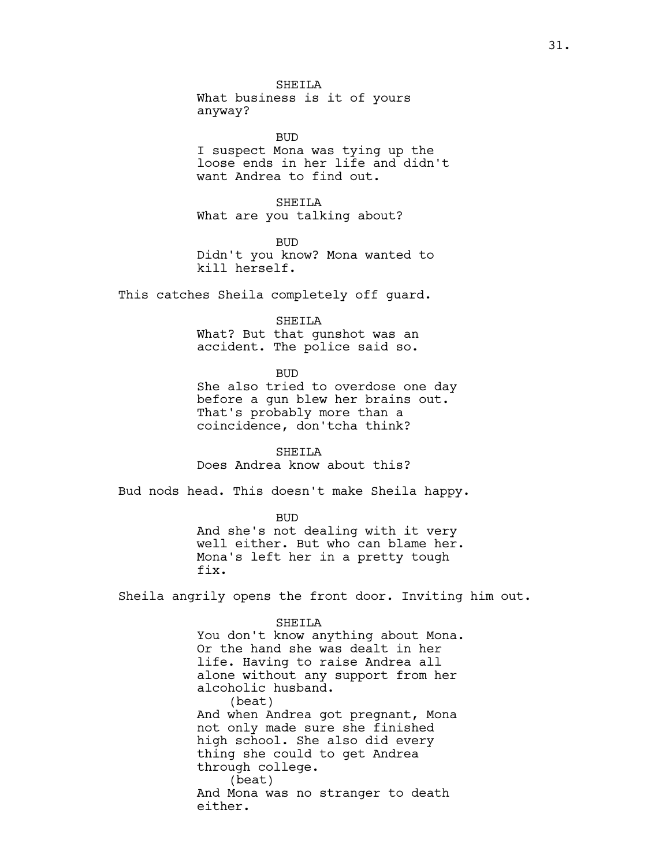SHETLA What business is it of yours anyway?

BUD I suspect Mona was tying up the loose ends in her life and didn't want Andrea to find out.

SHEILA What are you talking about?

BUD Didn't you know? Mona wanted to kill herself.

This catches Sheila completely off guard.

SHEILA

What? But that gunshot was an accident. The police said so.

BUD

She also tried to overdose one day before a gun blew her brains out. That's probably more than a coincidence, don'tcha think?

SHEILA Does Andrea know about this?

Bud nods head. This doesn't make Sheila happy.

BUD And she's not dealing with it very well either. But who can blame her. Mona's left her in a pretty tough fix.

Sheila angrily opens the front door. Inviting him out.

SHEILA

You don't know anything about Mona. Or the hand she was dealt in her life. Having to raise Andrea all alone without any support from her alcoholic husband. (beat) And when Andrea got pregnant, Mona not only made sure she finished high school. She also did every thing she could to get Andrea through college. (beat) And Mona was no stranger to death either.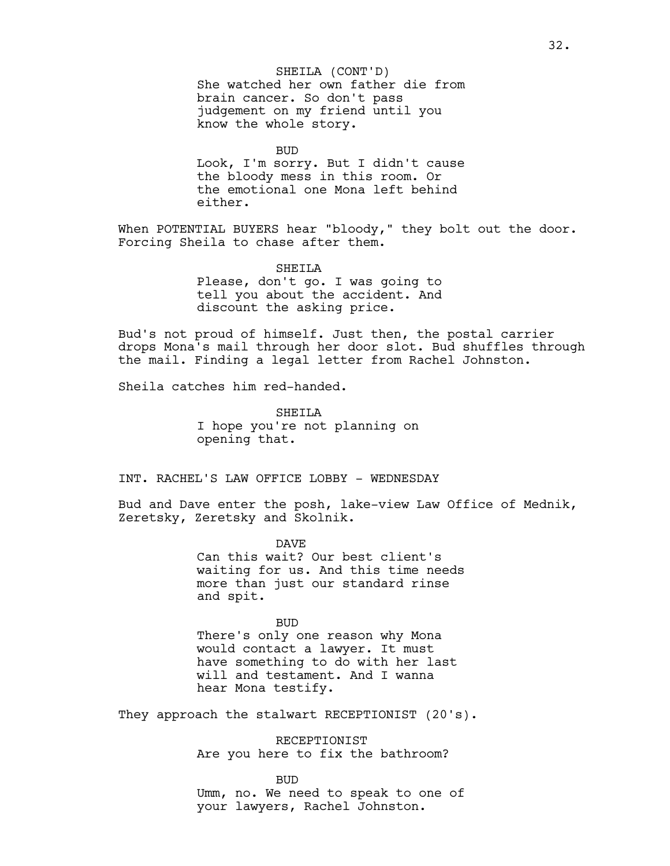BUD Look, I'm sorry. But I didn't cause the bloody mess in this room. Or the emotional one Mona left behind either.

When POTENTIAL BUYERS hear "bloody," they bolt out the door. Forcing Sheila to chase after them.

SHEILA

Please, don't go. I was going to tell you about the accident. And discount the asking price.

Bud's not proud of himself. Just then, the postal carrier drops Mona's mail through her door slot. Bud shuffles through the mail. Finding a legal letter from Rachel Johnston.

Sheila catches him red-handed.

SHEILA I hope you're not planning on opening that.

INT. RACHEL'S LAW OFFICE LOBBY - WEDNESDAY

Bud and Dave enter the posh, lake-view Law Office of Mednik, Zeretsky, Zeretsky and Skolnik.

> DAVE Can this wait? Our best client's waiting for us. And this time needs more than just our standard rinse and spit.

BUD There's only one reason why Mona would contact a lawyer. It must have something to do with her last will and testament. And I wanna hear Mona testify.

They approach the stalwart RECEPTIONIST (20's).

RECEPTIONIST Are you here to fix the bathroom?

BUD Umm, no. We need to speak to one of your lawyers, Rachel Johnston.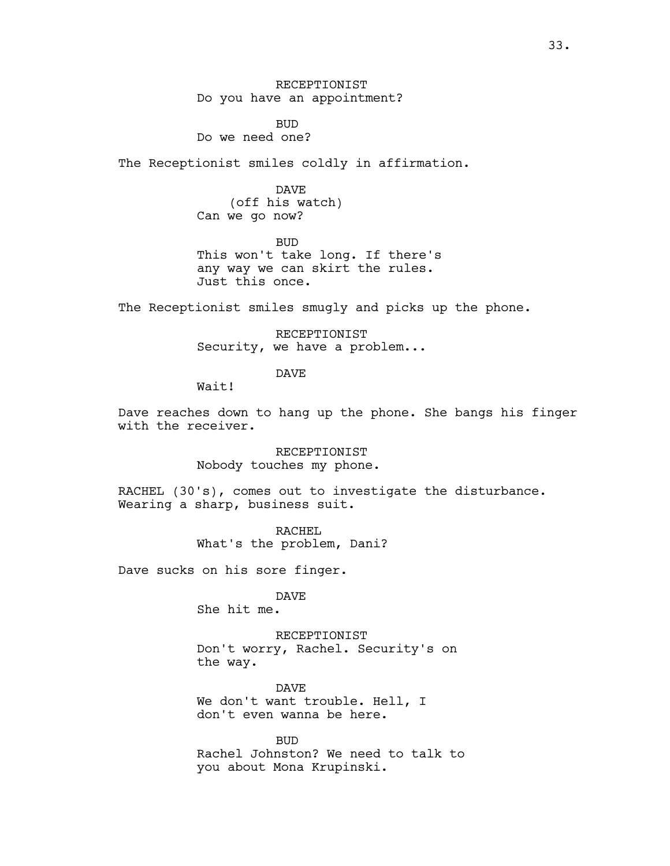RECEPTIONIST Do you have an appointment?

BUD Do we need one?

The Receptionist smiles coldly in affirmation.

DAVE (off his watch) Can we go now?

BUD This won't take long. If there's any way we can skirt the rules. Just this once.

The Receptionist smiles smugly and picks up the phone.

RECEPTIONIST Security, we have a problem...

DAVE

Wait!

Dave reaches down to hang up the phone. She bangs his finger with the receiver.

> RECEPTIONIST Nobody touches my phone.

RACHEL (30's), comes out to investigate the disturbance. Wearing a sharp, business suit.

> RACHEL What's the problem, Dani?

Dave sucks on his sore finger.

DAVE

She hit me.

RECEPTIONIST Don't worry, Rachel. Security's on the way.

DAVE We don't want trouble. Hell, I don't even wanna be here.

BUD Rachel Johnston? We need to talk to you about Mona Krupinski.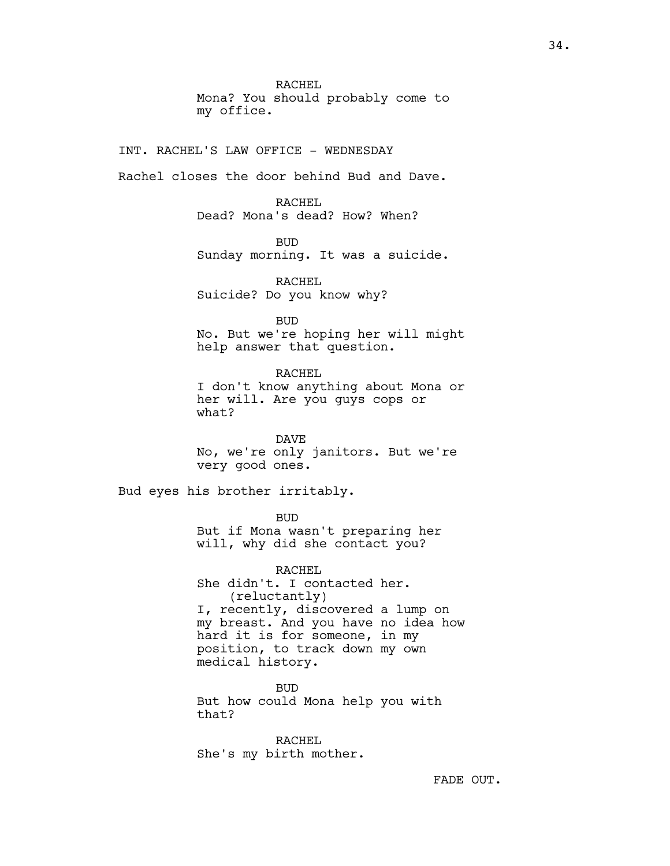RACHEL Mona? You should probably come to my office.

INT. RACHEL'S LAW OFFICE - WEDNESDAY

Rachel closes the door behind Bud and Dave.

RACHEL Dead? Mona's dead? How? When?

BUD

Sunday morning. It was a suicide.

RACHEL Suicide? Do you know why?

BUD

No. But we're hoping her will might help answer that question.

RACHEL I don't know anything about Mona or her will. Are you guys cops or what?

DAVE No, we're only janitors. But we're very good ones.

Bud eyes his brother irritably.

BUD But if Mona wasn't preparing her will, why did she contact you?

RACHEL She didn't. I contacted her. (reluctantly) I, recently, discovered a lump on my breast. And you have no idea how hard it is for someone, in my position, to track down my own medical history.

BUD But how could Mona help you with that?

RACHEL She's my birth mother.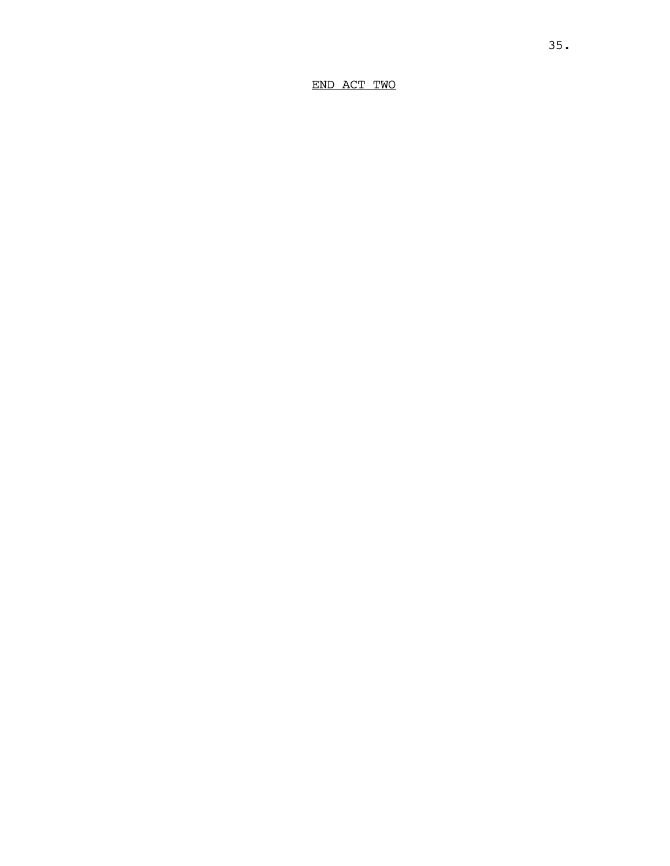END ACT TWO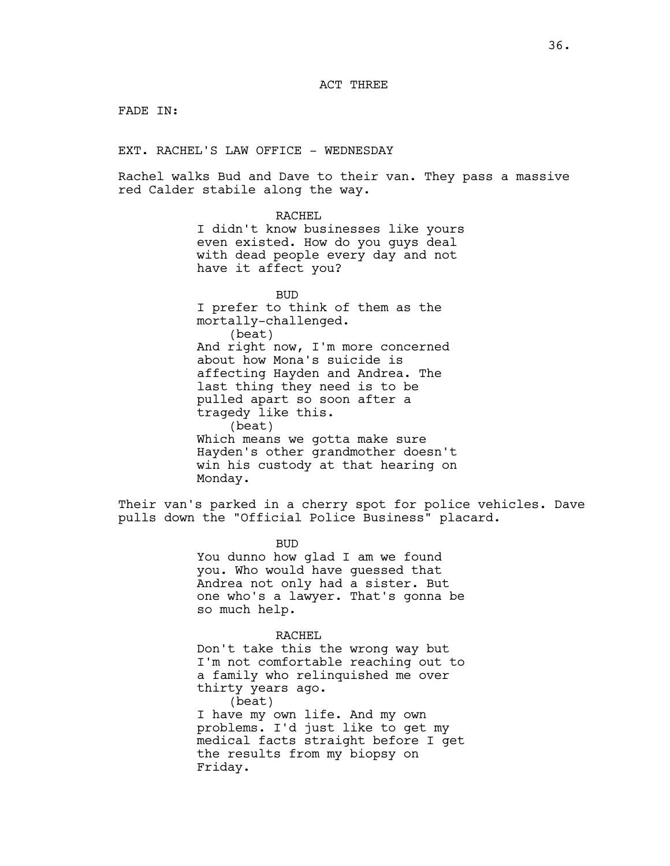## ACT THREE

FADE IN:

EXT. RACHEL'S LAW OFFICE - WEDNESDAY

Rachel walks Bud and Dave to their van. They pass a massive red Calder stabile along the way.

> RACHEL I didn't know businesses like yours even existed. How do you guys deal with dead people every day and not have it affect you?

BUD I prefer to think of them as the mortally-challenged. (beat) And right now, I'm more concerned about how Mona's suicide is affecting Hayden and Andrea. The last thing they need is to be pulled apart so soon after a tragedy like this. (beat) Which means we gotta make sure Hayden's other grandmother doesn't win his custody at that hearing on Monday.

Their van's parked in a cherry spot for police vehicles. Dave pulls down the "Official Police Business" placard.

> BUD You dunno how glad I am we found you. Who would have guessed that Andrea not only had a sister. But one who's a lawyer. That's gonna be so much help.

RACHEL Don't take this the wrong way but I'm not comfortable reaching out to a family who relinquished me over thirty years ago. (beat) I have my own life. And my own problems. I'd just like to get my medical facts straight before I get the results from my biopsy on Friday.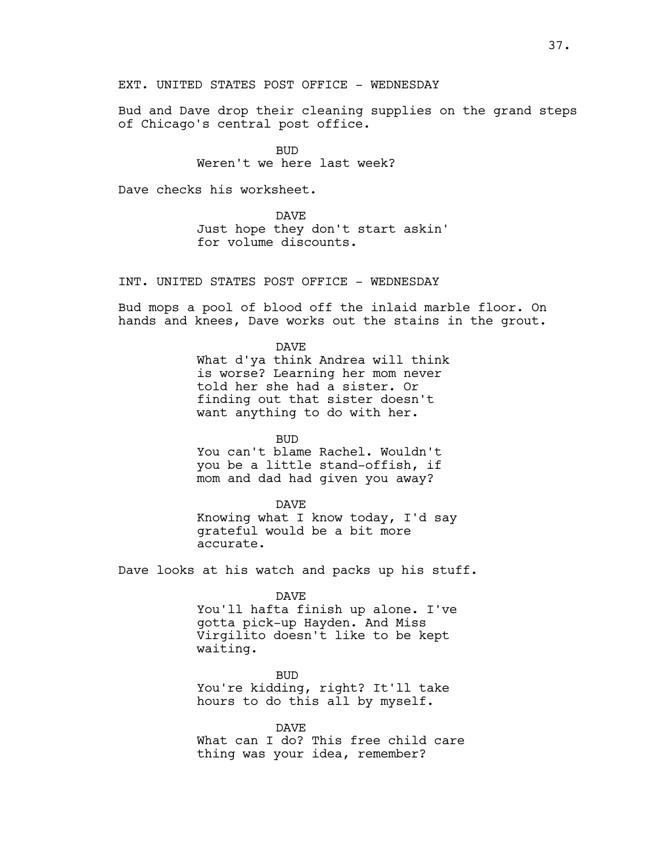EXT. UNITED STATES POST OFFICE - WEDNESDAY

Bud and Dave drop their cleaning supplies on the grand steps of Chicago's central post office.

> BUD Weren't we here last week?

Dave checks his worksheet.

DAVE Just hope they don't start askin' for volume discounts.

INT. UNITED STATES POST OFFICE - WEDNESDAY

Bud mops a pool of blood off the inlaid marble floor. On hands and knees, Dave works out the stains in the grout.

> DAVE What d'ya think Andrea will think is worse? Learning her mom never told her she had a sister. Or finding out that sister doesn't want anything to do with her.

BUD You can't blame Rachel. Wouldn't you be a little stand-offish, if mom and dad had given you away?

DAVE Knowing what I know today, I'd say grateful would be a bit more accurate.

Dave looks at his watch and packs up his stuff.

DAVE You'll hafta finish up alone. I've gotta pick-up Hayden. And Miss Virgilito doesn't like to be kept waiting.

BUD You're kidding, right? It'll take hours to do this all by myself.

DAVE What can I do? This free child care thing was your idea, remember?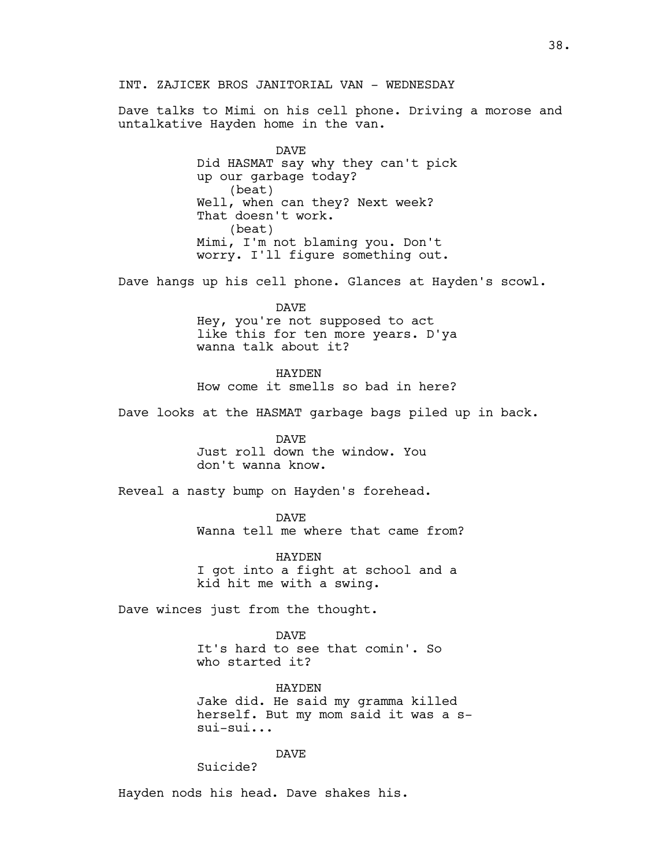## INT. ZAJICEK BROS JANITORIAL VAN - WEDNESDAY

Dave talks to Mimi on his cell phone. Driving a morose and untalkative Hayden home in the van.

> DAVE Did HASMAT say why they can't pick up our garbage today? (beat) Well, when can they? Next week? That doesn't work. (beat) Mimi, I'm not blaming you. Don't worry. I'll figure something out.

Dave hangs up his cell phone. Glances at Hayden's scowl.

DAVE Hey, you're not supposed to act like this for ten more years. D'ya wanna talk about it?

HAYDEN How come it smells so bad in here?

Dave looks at the HASMAT garbage bags piled up in back.

DAVE Just roll down the window. You don't wanna know.

Reveal a nasty bump on Hayden's forehead.

DAVE Wanna tell me where that came from?

HAYDEN I got into a fight at school and a kid hit me with a swing.

Dave winces just from the thought.

DAVE It's hard to see that comin'. So who started it?

HAYDEN Jake did. He said my gramma killed herself. But my mom said it was a ssui-sui...

DAVE

Suicide?

Hayden nods his head. Dave shakes his.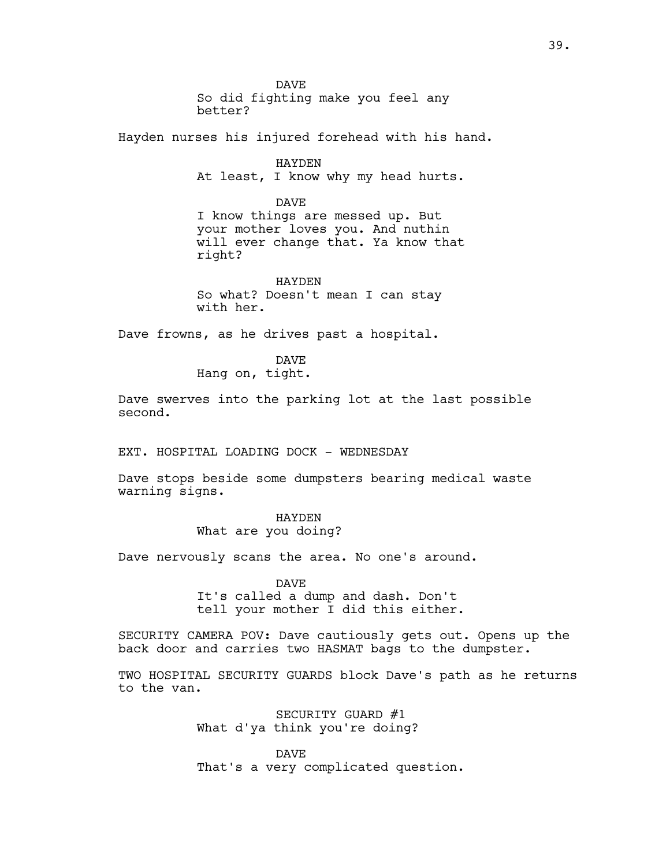DAVE So did fighting make you feel any better?

Hayden nurses his injured forehead with his hand.

HAYDEN At least, I know why my head hurts.

DAVE I know things are messed up. But your mother loves you. And nuthin will ever change that. Ya know that right?

HAYDEN So what? Doesn't mean I can stay with her.

Dave frowns, as he drives past a hospital.

DAVE Hang on, tight.

Dave swerves into the parking lot at the last possible second.

EXT. HOSPITAL LOADING DOCK - WEDNESDAY

Dave stops beside some dumpsters bearing medical waste warning signs.

## HAYDEN

What are you doing?

Dave nervously scans the area. No one's around.

DAVE It's called a dump and dash. Don't tell your mother I did this either.

SECURITY CAMERA POV: Dave cautiously gets out. Opens up the back door and carries two HASMAT bags to the dumpster.

TWO HOSPITAL SECURITY GUARDS block Dave's path as he returns to the van.

> SECURITY GUARD #1 What d'ya think you're doing?

DAVE That's a very complicated question.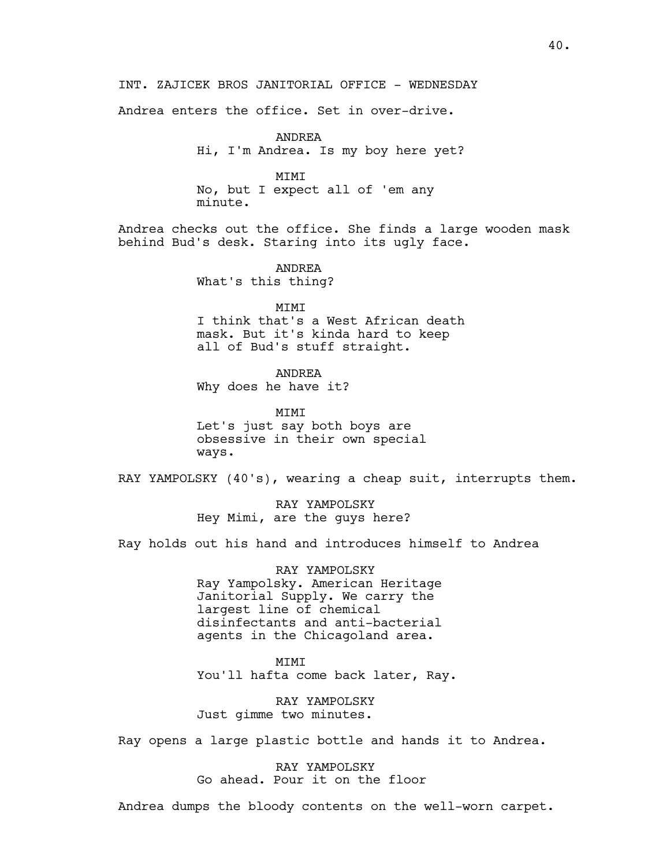Andrea enters the office. Set in over-drive.

ANDREA Hi, I'm Andrea. Is my boy here yet?

MIMI No, but I expect all of 'em any minute.

Andrea checks out the office. She finds a large wooden mask behind Bud's desk. Staring into its ugly face.

> ANDREA What's this thing?

MIMI I think that's a West African death mask. But it's kinda hard to keep all of Bud's stuff straight.

ANDREA Why does he have it?

MIMI Let's just say both boys are obsessive in their own special ways.

RAY YAMPOLSKY (40's), wearing a cheap suit, interrupts them.

RAY YAMPOLSKY Hey Mimi, are the guys here?

Ray holds out his hand and introduces himself to Andrea

RAY YAMPOLSKY Ray Yampolsky. American Heritage Janitorial Supply. We carry the largest line of chemical disinfectants and anti-bacterial agents in the Chicagoland area.

MIMI You'll hafta come back later, Ray.

RAY YAMPOLSKY Just gimme two minutes.

Ray opens a large plastic bottle and hands it to Andrea.

RAY YAMPOLSKY Go ahead. Pour it on the floor

Andrea dumps the bloody contents on the well-worn carpet.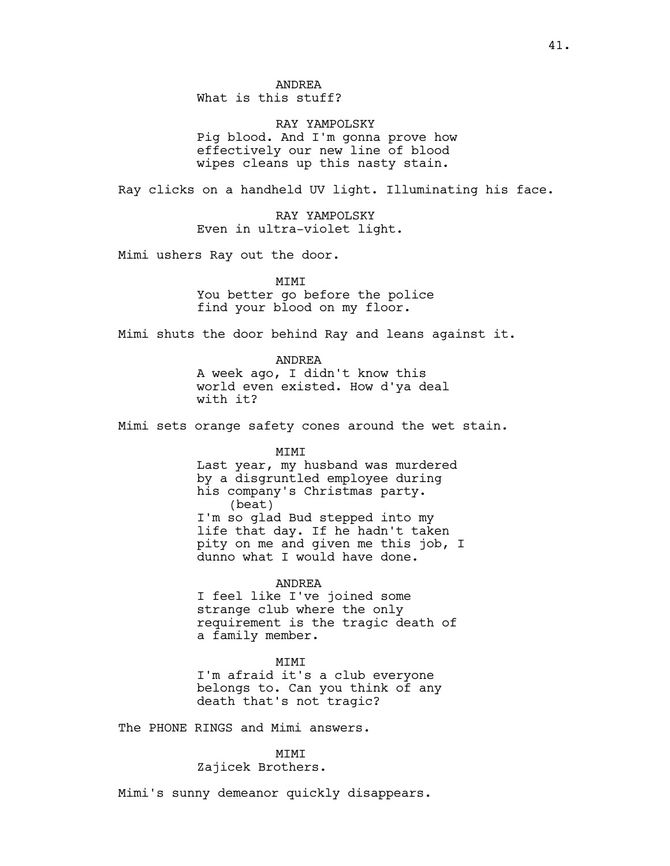RAY YAMPOLSKY Pig blood. And I'm gonna prove how effectively our new line of blood wipes cleans up this nasty stain.

Ray clicks on a handheld UV light. Illuminating his face.

RAY YAMPOLSKY Even in ultra-violet light.

Mimi ushers Ray out the door.

MIMI You better go before the police find your blood on my floor.

Mimi shuts the door behind Ray and leans against it.

ANDREA A week ago, I didn't know this world even existed. How d'ya deal with it?

Mimi sets orange safety cones around the wet stain.

MIMI

Last year, my husband was murdered by a disgruntled employee during his company's Christmas party. (beat) I'm so glad Bud stepped into my life that day. If he hadn't taken pity on me and given me this job, I dunno what I would have done.

ANDREA

I feel like I've joined some strange club where the only requirement is the tragic death of a family member.

MIMI

I'm afraid it's a club everyone belongs to. Can you think of any death that's not tragic?

The PHONE RINGS and Mimi answers.

MIMI

Zajicek Brothers.

Mimi's sunny demeanor quickly disappears.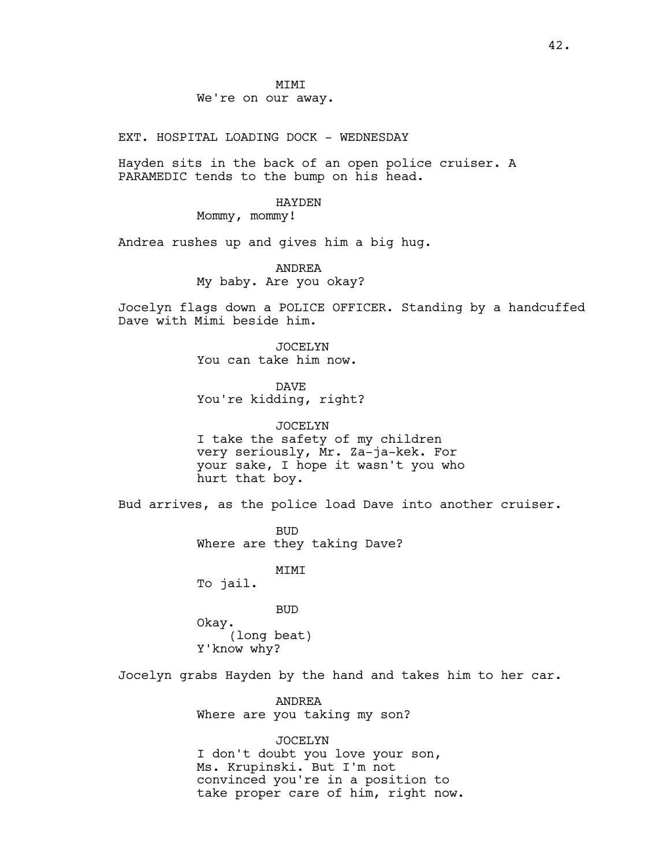**MTMT** We're on our away.

EXT. HOSPITAL LOADING DOCK - WEDNESDAY

Hayden sits in the back of an open police cruiser. A PARAMEDIC tends to the bump on his head.

#### HAYDEN

Mommy, mommy!

Andrea rushes up and gives him a big hug.

ANDREA

My baby. Are you okay?

Jocelyn flags down a POLICE OFFICER. Standing by a handcuffed Dave with Mimi beside him.

> JOCELYN You can take him now.

DAVE You're kidding, right?

JOCELYN I take the safety of my children very seriously, Mr. Za-ja-kek. For your sake, I hope it wasn't you who hurt that boy.

Bud arrives, as the police load Dave into another cruiser.

BUD Where are they taking Dave?

MIMI

To jail.

BUD

Okay. (long beat) Y'know why?

Jocelyn grabs Hayden by the hand and takes him to her car.

ANDREA Where are you taking my son?

#### JOCELYN

I don't doubt you love your son, Ms. Krupinski. But I'm not convinced you're in a position to take proper care of him, right now.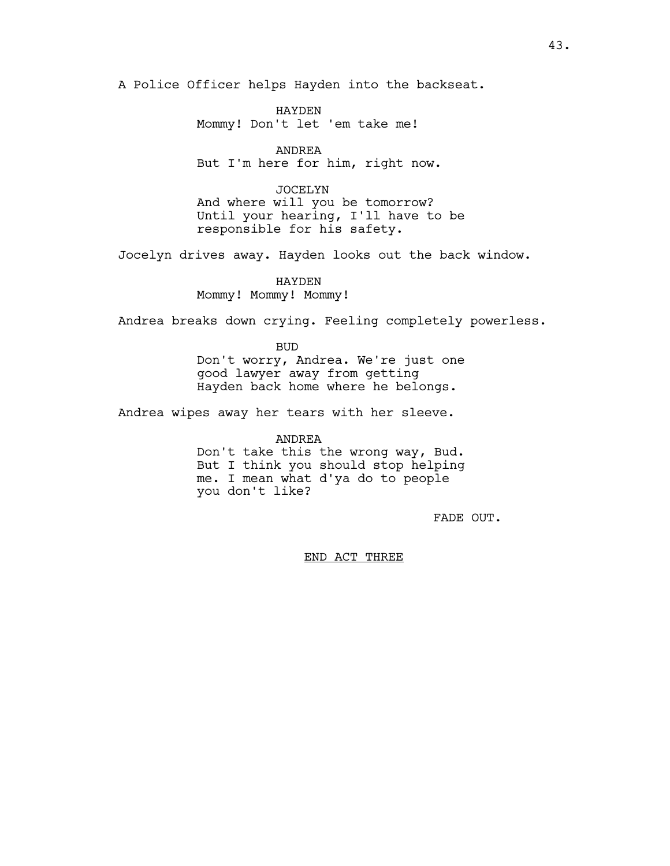A Police Officer helps Hayden into the backseat.

HAYDEN Mommy! Don't let 'em take me!

ANDREA But I'm here for him, right now.

JOCELYN And where will you be tomorrow? Until your hearing, I'll have to be responsible for his safety.

Jocelyn drives away. Hayden looks out the back window.

HAYDEN Mommy! Mommy! Mommy!

Andrea breaks down crying. Feeling completely powerless.

BUD Don't worry, Andrea. We're just one good lawyer away from getting Hayden back home where he belongs.

Andrea wipes away her tears with her sleeve.

ANDREA

Don't take this the wrong way, Bud. But I think you should stop helping me. I mean what d'ya do to people you don't like?

FADE OUT.

END ACT THREE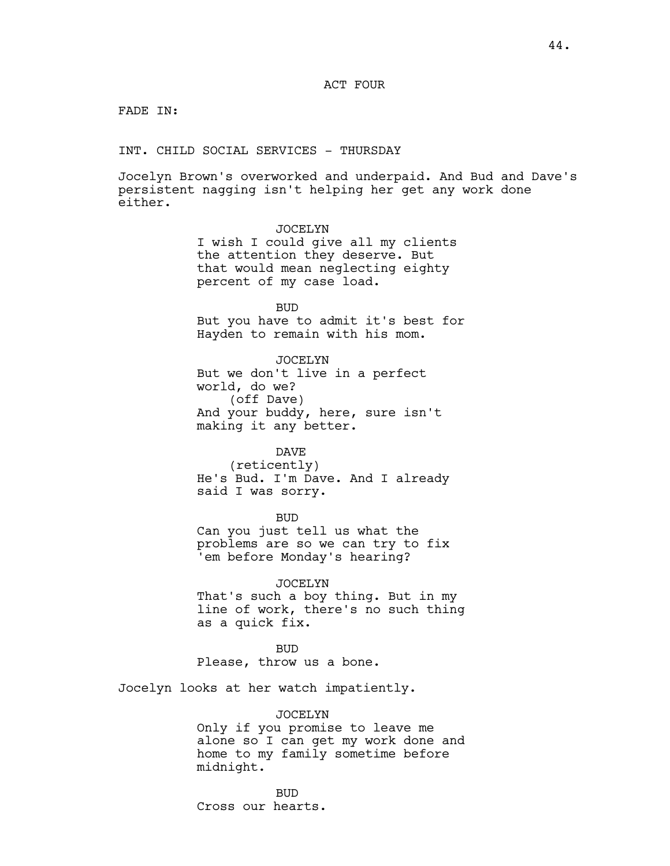## ACT FOUR

FADE IN:

INT. CHILD SOCIAL SERVICES - THURSDAY

Jocelyn Brown's overworked and underpaid. And Bud and Dave's persistent nagging isn't helping her get any work done either.

### JOCELYN

I wish I could give all my clients the attention they deserve. But that would mean neglecting eighty percent of my case load.

BUD

But you have to admit it's best for Hayden to remain with his mom.

JOCELYN

But we don't live in a perfect world, do we? (off Dave) And your buddy, here, sure isn't making it any better.

#### DAVE

(reticently) He's Bud. I'm Dave. And I already said I was sorry.

BUD

Can you just tell us what the problems are so we can try to fix 'em before Monday's hearing?

JOCELYN

That's such a boy thing. But in my line of work, there's no such thing as a quick fix.

BUD Please, throw us a bone.

Jocelyn looks at her watch impatiently.

JOCELYN

Only if you promise to leave me alone so I can get my work done and home to my family sometime before midnight.

BUD Cross our hearts.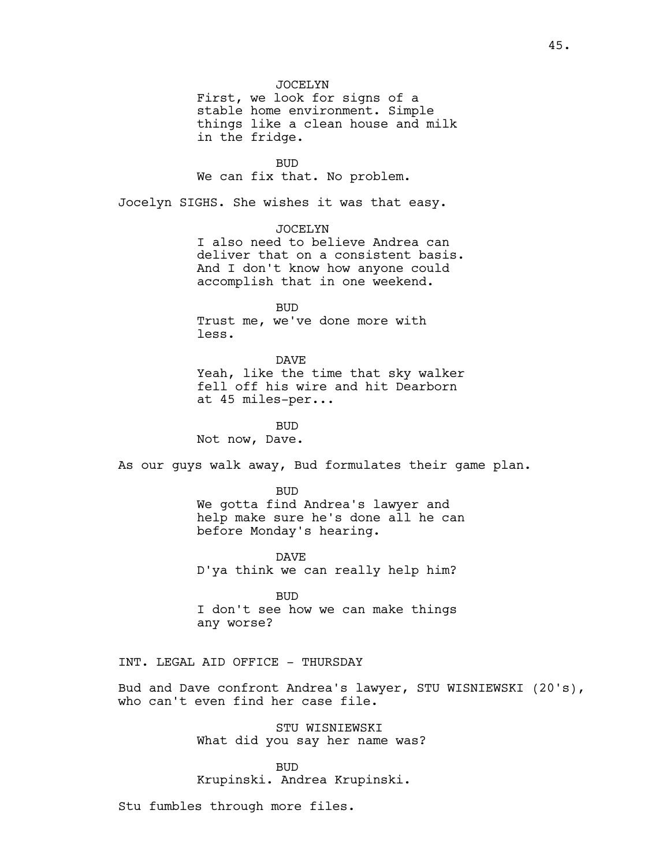JOCELYN First, we look for signs of a stable home environment. Simple things like a clean house and milk in the fridge.

BUD We can fix that. No problem.

Jocelyn SIGHS. She wishes it was that easy.

## JOCELYN

I also need to believe Andrea can deliver that on a consistent basis. And I don't know how anyone could accomplish that in one weekend.

BUD Trust me, we've done more with less.

# DAVE Yeah, like the time that sky walker fell off his wire and hit Dearborn at 45 miles-per...

BUD Not now, Dave.

As our guys walk away, Bud formulates their game plan.

BUD We gotta find Andrea's lawyer and help make sure he's done all he can before Monday's hearing.

DAVE D'ya think we can really help him?

BUD I don't see how we can make things any worse?

## INT. LEGAL AID OFFICE - THURSDAY

Bud and Dave confront Andrea's lawyer, STU WISNIEWSKI (20's), who can't even find her case file.

> STU WISNIEWSKI What did you say her name was?

### BUD

Krupinski. Andrea Krupinski.

Stu fumbles through more files.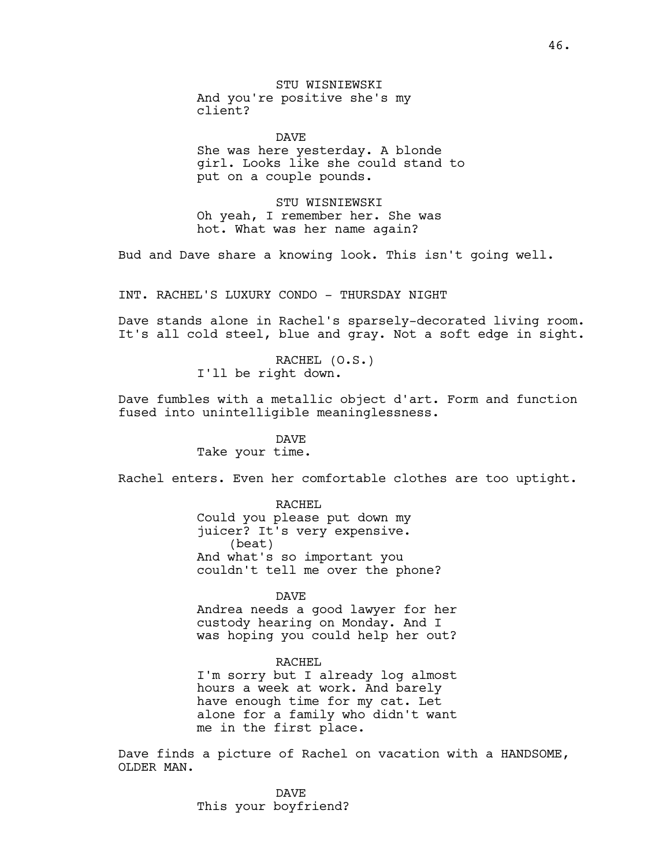STU WISNIEWSKI And you're positive she's my client?

DAVE She was here yesterday. A blonde girl. Looks like she could stand to put on a couple pounds.

STU WISNIEWSKI Oh yeah, I remember her. She was hot. What was her name again?

Bud and Dave share a knowing look. This isn't going well.

INT. RACHEL'S LUXURY CONDO - THURSDAY NIGHT

Dave stands alone in Rachel's sparsely-decorated living room. It's all cold steel, blue and gray. Not a soft edge in sight.

> RACHEL (O.S.) I'll be right down.

Dave fumbles with a metallic object d'art. Form and function fused into unintelligible meaninglessness.

# DAVE

Take your time.

Rachel enters. Even her comfortable clothes are too uptight.

RACHEL Could you please put down my juicer? It's very expensive. (beat) And what's so important you couldn't tell me over the phone?

#### DAVE

Andrea needs a good lawyer for her custody hearing on Monday. And I was hoping you could help her out?

### RACHEL

I'm sorry but I already log almost hours a week at work. And barely have enough time for my cat. Let alone for a family who didn't want me in the first place.

Dave finds a picture of Rachel on vacation with a HANDSOME, OLDER MAN.

> DAVE This your boyfriend?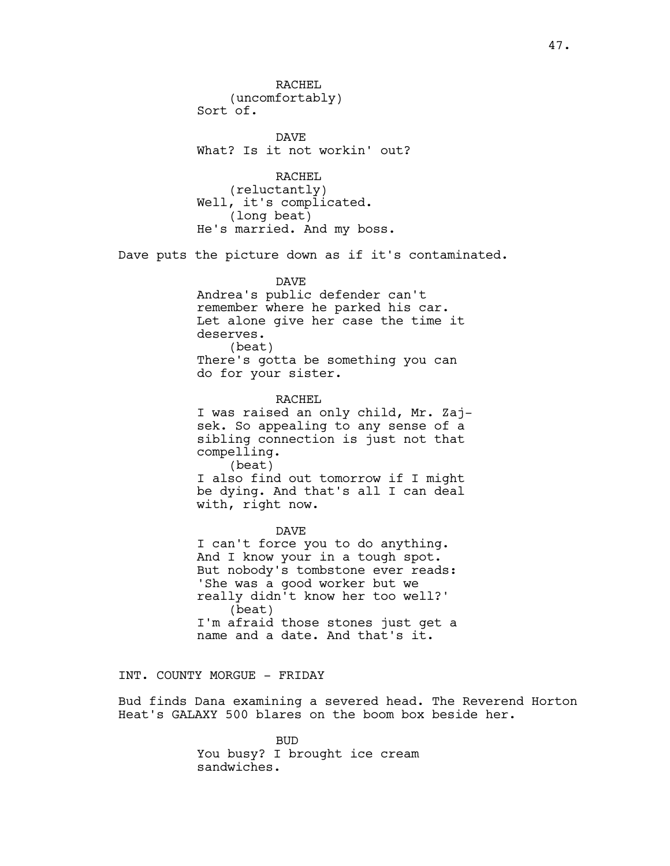RACHEL (uncomfortably) Sort of. DAVE What? Is it not workin' out? RACHEL (reluctantly) Well, it's complicated. (long beat) He's married. And my boss. Dave puts the picture down as if it's contaminated. DAVE Andrea's public defender can't remember where he parked his car. Let alone give her case the time it deserves. (beat) There's gotta be something you can do for your sister. RACHEL I was raised an only child, Mr. Zajsek. So appealing to any sense of a sibling connection is just not that compelling. (beat) I also find out tomorrow if I might be dying. And that's all I can deal with, right now. DAVE I can't force you to do anything. And I know your in a tough spot. But nobody's tombstone ever reads: 'She was a good worker but we really didn't know her too well?' (beat) I'm afraid those stones just get a name and a date. And that's it.

## INT. COUNTY MORGUE - FRIDAY

Bud finds Dana examining a severed head. The Reverend Horton Heat's GALAXY 500 blares on the boom box beside her.

> BUD You busy? I brought ice cream sandwiches.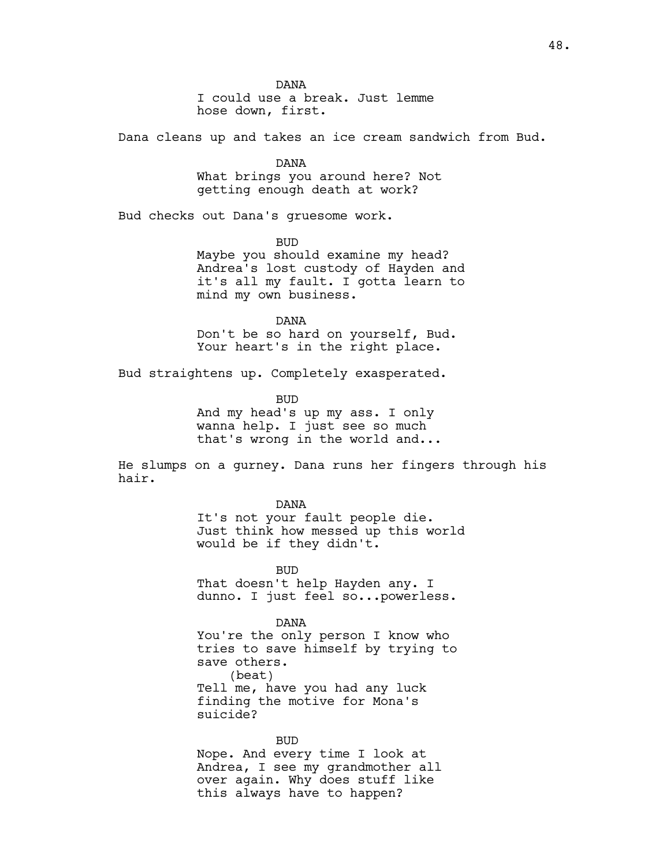DANA I could use a break. Just lemme hose down, first.

Dana cleans up and takes an ice cream sandwich from Bud.

DANA What brings you around here? Not getting enough death at work?

Bud checks out Dana's gruesome work.

BUD Maybe you should examine my head? Andrea's lost custody of Hayden and it's all my fault. I gotta learn to mind my own business.

DANA Don't be so hard on yourself, Bud. Your heart's in the right place.

Bud straightens up. Completely exasperated.

BUD And my head's up my ass. I only wanna help. I just see so much that's wrong in the world and...

He slumps on a gurney. Dana runs her fingers through his hair.

#### DANA

It's not your fault people die. Just think how messed up this world would be if they didn't.

BUD That doesn't help Hayden any. I dunno. I just feel so...powerless.

#### DANA

You're the only person I know who tries to save himself by trying to save others. (beat) Tell me, have you had any luck finding the motive for Mona's suicide?

## BUD

Nope. And every time I look at Andrea, I see my grandmother all over again. Why does stuff like this always have to happen?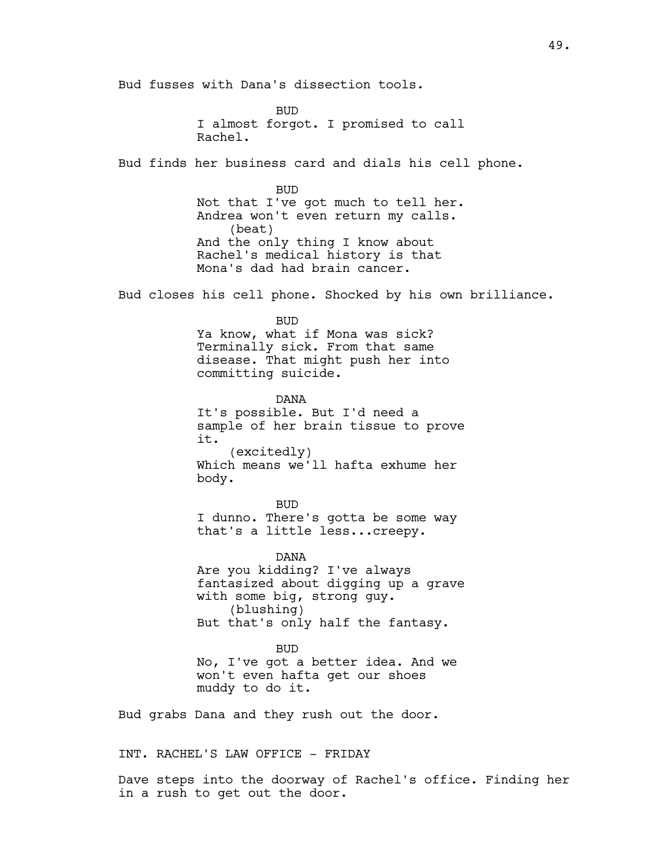Bud fusses with Dana's dissection tools.

**BUD** I almost forgot. I promised to call Rachel.

Bud finds her business card and dials his cell phone.

BUD Not that I've got much to tell her. Andrea won't even return my calls. (beat) And the only thing I know about Rachel's medical history is that Mona's dad had brain cancer.

Bud closes his cell phone. Shocked by his own brilliance.

BUD

Ya know, what if Mona was sick? Terminally sick. From that same disease. That might push her into committing suicide.

DANA It's possible. But I'd need a sample of her brain tissue to prove it. (excitedly) Which means we'll hafta exhume her body.

BUD I dunno. There's gotta be some way that's a little less...creepy.

DANA Are you kidding? I've always fantasized about digging up a grave with some big, strong guy. (blushing) But that's only half the fantasy.

BUD No, I've got a better idea. And we won't even hafta get our shoes muddy to do it.

Bud grabs Dana and they rush out the door.

INT. RACHEL'S LAW OFFICE - FRIDAY

Dave steps into the doorway of Rachel's office. Finding her in a rush to get out the door.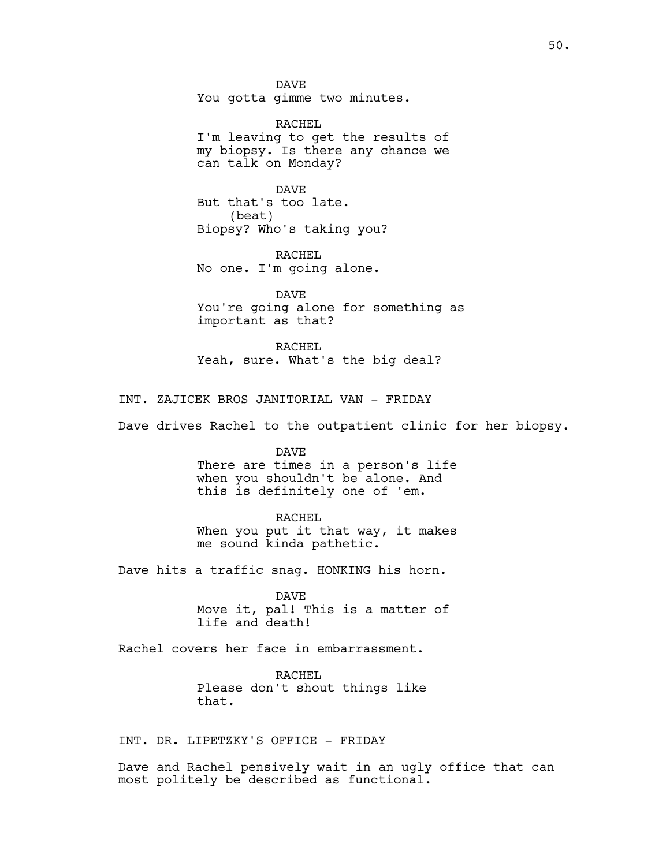DAVE You gotta gimme two minutes.

RACHEL I'm leaving to get the results of my biopsy. Is there any chance we can talk on Monday?

DAVE But that's too late. (beat) Biopsy? Who's taking you?

RACHEL No one. I'm going alone.

DAVE You're going alone for something as important as that?

RACHEL Yeah, sure. What's the big deal?

INT. ZAJICEK BROS JANITORIAL VAN - FRIDAY

Dave drives Rachel to the outpatient clinic for her biopsy.

DAVE

There are times in a person's life when you shouldn't be alone. And this is definitely one of 'em.

RACHEL

When you put it that way, it makes me sound kinda pathetic.

Dave hits a traffic snag. HONKING his horn.

DAVE Move it, pal! This is a matter of life and death!

Rachel covers her face in embarrassment.

RACHEL Please don't shout things like that.

INT. DR. LIPETZKY'S OFFICE - FRIDAY

Dave and Rachel pensively wait in an ugly office that can most politely be described as functional.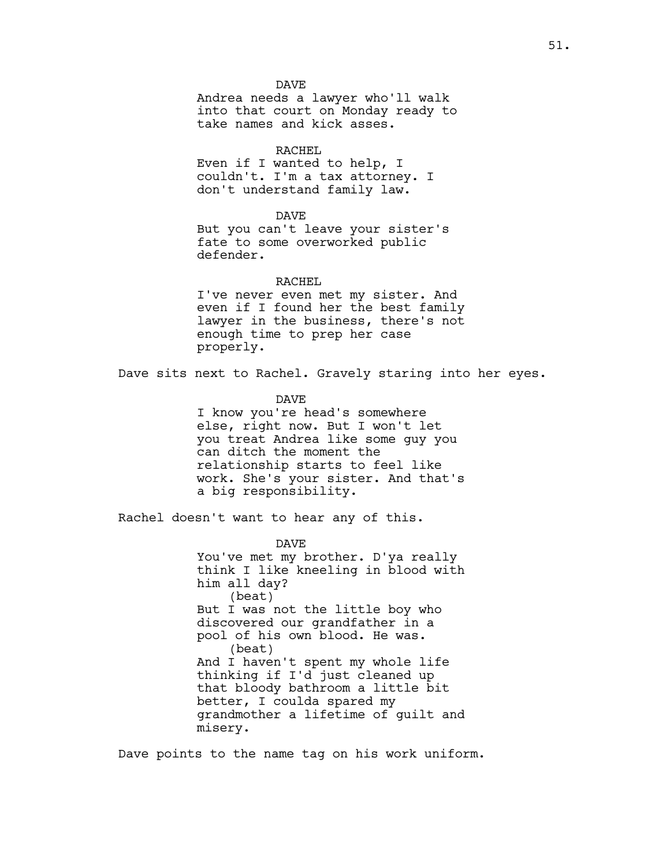Andrea needs a lawyer who'll walk into that court on Monday ready to take names and kick asses.

## RACHEL

Even if I wanted to help, I couldn't. I'm a tax attorney. I don't understand family law.

#### DAVE

But you can't leave your sister's fate to some overworked public defender.

## RACHEL

I've never even met my sister. And even if I found her the best family lawyer in the business, there's not enough time to prep her case properly.

Dave sits next to Rachel. Gravely staring into her eyes.

DAVE

I know you're head's somewhere else, right now. But I won't let you treat Andrea like some guy you can ditch the moment the relationship starts to feel like work. She's your sister. And that's a big responsibility.

Rachel doesn't want to hear any of this.

DAVE You've met my brother. D'ya really think I like kneeling in blood with him all day? (beat) But I was not the little boy who discovered our grandfather in a pool of his own blood. He was. (beat) And I haven't spent my whole life thinking if I'd just cleaned up that bloody bathroom a little bit better, I coulda spared my grandmother a lifetime of guilt and misery.

Dave points to the name tag on his work uniform.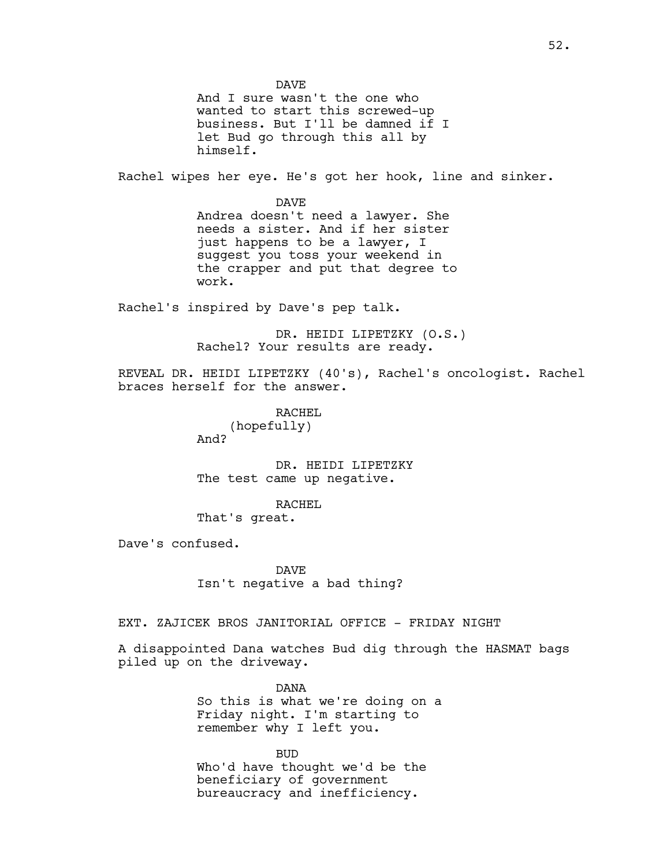DAVE And I sure wasn't the one who wanted to start this screwed-up business. But I'll be damned if I let Bud go through this all by himself. Rachel wipes her eye. He's got her hook, line and sinker. DAVE Andrea doesn't need a lawyer. She needs a sister. And if her sister just happens to be a lawyer, I suggest you toss your weekend in the crapper and put that degree to work. Rachel's inspired by Dave's pep talk. DR. HEIDI LIPETZKY (O.S.) Rachel? Your results are ready. REVEAL DR. HEIDI LIPETZKY (40's), Rachel's oncologist. Rachel braces herself for the answer. RACHEL (hopefully) And? DR. HEIDI LIPETZKY The test came up negative. RACHEL That's great. Dave's confused. DAVE Isn't negative a bad thing? EXT. ZAJICEK BROS JANITORIAL OFFICE - FRIDAY NIGHT A disappointed Dana watches Bud dig through the HASMAT bags piled up on the driveway. DANA So this is what we're doing on a Friday night. I'm starting to remember why I left you.

> BUD Who'd have thought we'd be the beneficiary of government bureaucracy and inefficiency.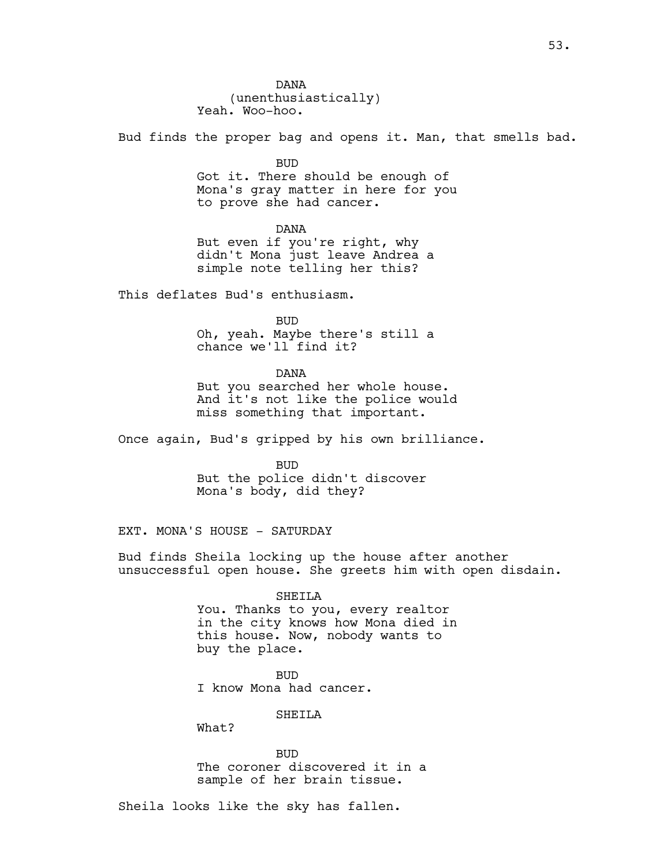Bud finds the proper bag and opens it. Man, that smells bad.

BUD

Got it. There should be enough of Mona's gray matter in here for you to prove she had cancer.

DANA But even if you're right, why didn't Mona just leave Andrea a simple note telling her this?

This deflates Bud's enthusiasm.

BUD

Oh, yeah. Maybe there's still a chance we'll find it?

DANA

But you searched her whole house. And it's not like the police would miss something that important.

Once again, Bud's gripped by his own brilliance.

BUD But the police didn't discover Mona's body, did they?

EXT. MONA'S HOUSE - SATURDAY

Bud finds Sheila locking up the house after another unsuccessful open house. She greets him with open disdain.

#### SHEILA

You. Thanks to you, every realtor in the city knows how Mona died in this house. Now, nobody wants to buy the place.

BUD I know Mona had cancer.

SHEILA

What?

BUD The coroner discovered it in a sample of her brain tissue.

Sheila looks like the sky has fallen.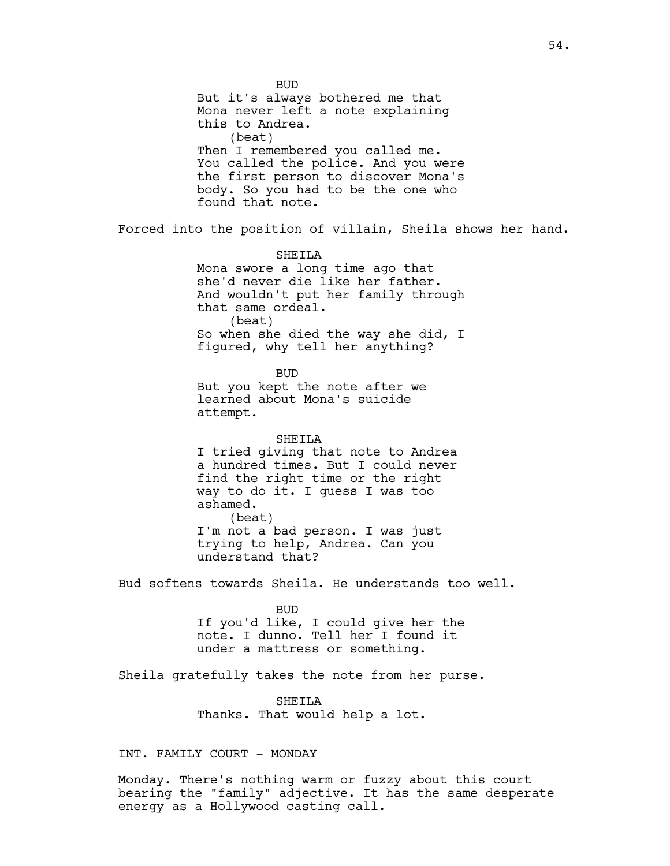BUD But it's always bothered me that Mona never left a note explaining this to Andrea. (beat) Then I remembered you called me. You called the police. And you were the first person to discover Mona's body. So you had to be the one who found that note. Forced into the position of villain, Sheila shows her hand. SHEILA Mona swore a long time ago that she'd never die like her father. And wouldn't put her family through that same ordeal. (beat) So when she died the way she did, I figured, why tell her anything? BUD But you kept the note after we learned about Mona's suicide attempt. SHEILA I tried giving that note to Andrea a hundred times. But I could never find the right time or the right way to do it. I guess I was too ashamed. (beat) I'm not a bad person. I was just trying to help, Andrea. Can you understand that? Bud softens towards Sheila. He understands too well. BUD If you'd like, I could give her the note. I dunno. Tell her I found it under a mattress or something. Sheila gratefully takes the note from her purse. SHEILA Thanks. That would help a lot.

INT. FAMILY COURT - MONDAY

Monday. There's nothing warm or fuzzy about this court bearing the "family" adjective. It has the same desperate energy as a Hollywood casting call.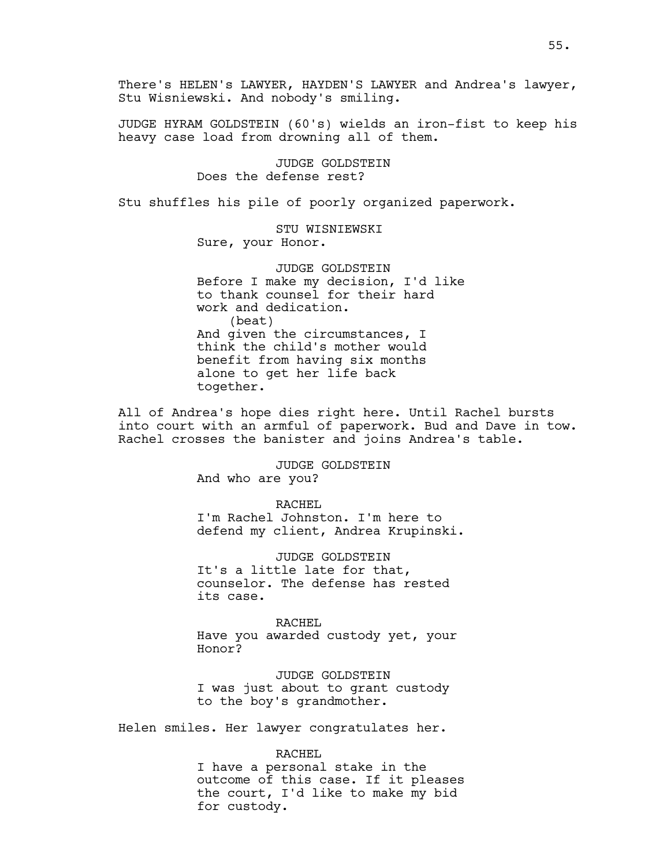There's HELEN's LAWYER, HAYDEN'S LAWYER and Andrea's lawyer, Stu Wisniewski. And nobody's smiling.

JUDGE HYRAM GOLDSTEIN (60's) wields an iron-fist to keep his heavy case load from drowning all of them.

> JUDGE GOLDSTEIN Does the defense rest?

Stu shuffles his pile of poorly organized paperwork.

STU WISNIEWSKI Sure, your Honor.

JUDGE GOLDSTEIN Before I make my decision, I'd like to thank counsel for their hard work and dedication. (beat) And given the circumstances, I think the child's mother would benefit from having six months alone to get her life back together.

All of Andrea's hope dies right here. Until Rachel bursts into court with an armful of paperwork. Bud and Dave in tow. Rachel crosses the banister and joins Andrea's table.

> JUDGE GOLDSTEIN And who are you?

RACHEL I'm Rachel Johnston. I'm here to defend my client, Andrea Krupinski.

JUDGE GOLDSTEIN It's a little late for that, counselor. The defense has rested its case.

RACHEL Have you awarded custody yet, your Honor?

JUDGE GOLDSTEIN I was just about to grant custody to the boy's grandmother.

Helen smiles. Her lawyer congratulates her.

RACHEL

I have a personal stake in the outcome of this case. If it pleases the court, I'd like to make my bid for custody.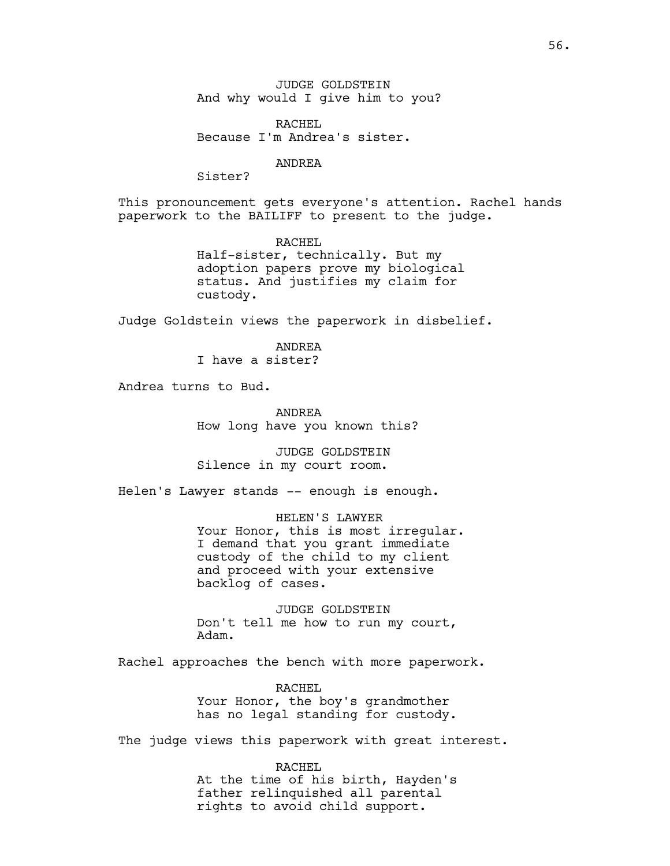JUDGE GOLDSTEIN And why would I give him to you?

RACHEL Because I'm Andrea's sister.

ANDREA

Sister?

This pronouncement gets everyone's attention. Rachel hands paperwork to the BAILIFF to present to the judge.

> RACHEL Half-sister, technically. But my adoption papers prove my biological status. And justifies my claim for custody.

Judge Goldstein views the paperwork in disbelief.

ANDREA I have a sister?

Andrea turns to Bud.

ANDREA How long have you known this?

JUDGE GOLDSTEIN Silence in my court room.

Helen's Lawyer stands -- enough is enough.

HELEN'S LAWYER Your Honor, this is most irregular. I demand that you grant immediate custody of the child to my client and proceed with your extensive backlog of cases.

JUDGE GOLDSTEIN Don't tell me how to run my court, Adam.

Rachel approaches the bench with more paperwork.

RACHEL Your Honor, the boy's grandmother has no legal standing for custody.

The judge views this paperwork with great interest.

RACHEL At the time of his birth, Hayden's father relinquished all parental rights to avoid child support.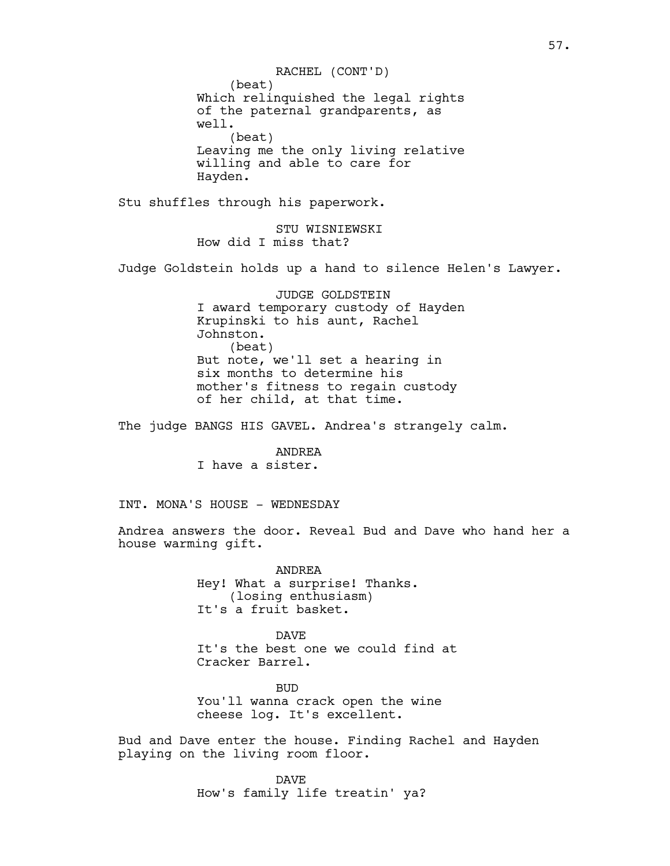(beat) Which relinquished the legal rights of the paternal grandparents, as well. (beat) Leaving me the only living relative willing and able to care for Hayden. RACHEL (CONT'D)

Stu shuffles through his paperwork.

STU WISNIEWSKI How did I miss that?

Judge Goldstein holds up a hand to silence Helen's Lawyer.

JUDGE GOLDSTEIN I award temporary custody of Hayden Krupinski to his aunt, Rachel Johnston. (beat) But note, we'll set a hearing in six months to determine his mother's fitness to regain custody of her child, at that time.

The judge BANGS HIS GAVEL. Andrea's strangely calm.

ANDREA I have a sister.

INT. MONA'S HOUSE - WEDNESDAY

Andrea answers the door. Reveal Bud and Dave who hand her a house warming gift.

> ANDREA Hey! What a surprise! Thanks. (losing enthusiasm) It's a fruit basket.

DAVE It's the best one we could find at Cracker Barrel.

BUD You'll wanna crack open the wine cheese log. It's excellent.

Bud and Dave enter the house. Finding Rachel and Hayden playing on the living room floor.

> DAVE How's family life treatin' ya?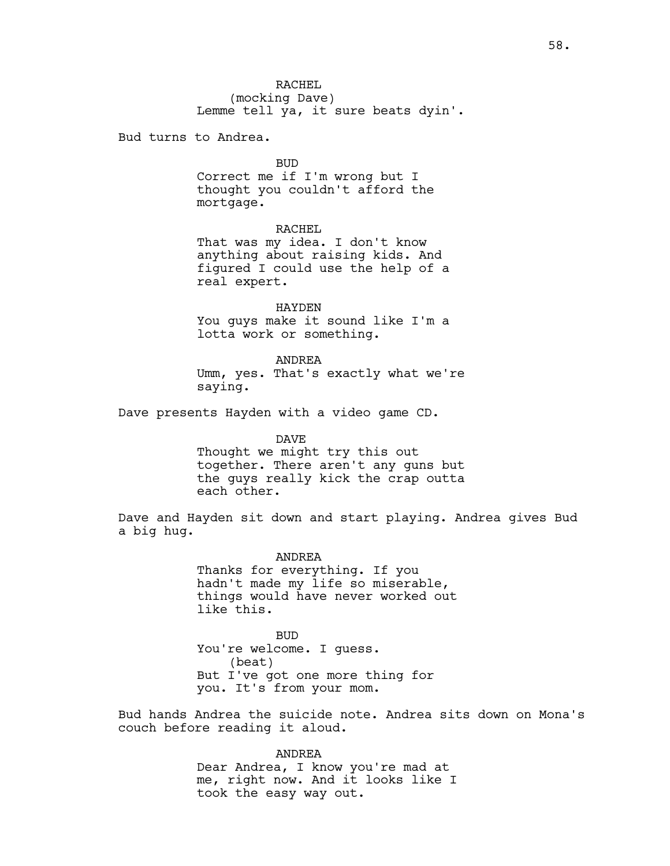RACHEL (mocking Dave) Lemme tell ya, it sure beats dyin'.

Bud turns to Andrea.

BUD

Correct me if I'm wrong but I thought you couldn't afford the mortgage.

RACHEL

That was my idea. I don't know anything about raising kids. And figured I could use the help of a real expert.

HAYDEN You guys make it sound like I'm a lotta work or something.

ANDREA Umm, yes. That's exactly what we're saying.

Dave presents Hayden with a video game CD.

DAVE Thought we might try this out together. There aren't any guns but the guys really kick the crap outta each other.

Dave and Hayden sit down and start playing. Andrea gives Bud a big hug.

> ANDREA Thanks for everything. If you hadn't made my life so miserable, things would have never worked out like this.

BUD You're welcome. I guess. (beat) But I've got one more thing for you. It's from your mom.

Bud hands Andrea the suicide note. Andrea sits down on Mona's couch before reading it aloud.

> ANDREA Dear Andrea, I know you're mad at me, right now. And it looks like I took the easy way out.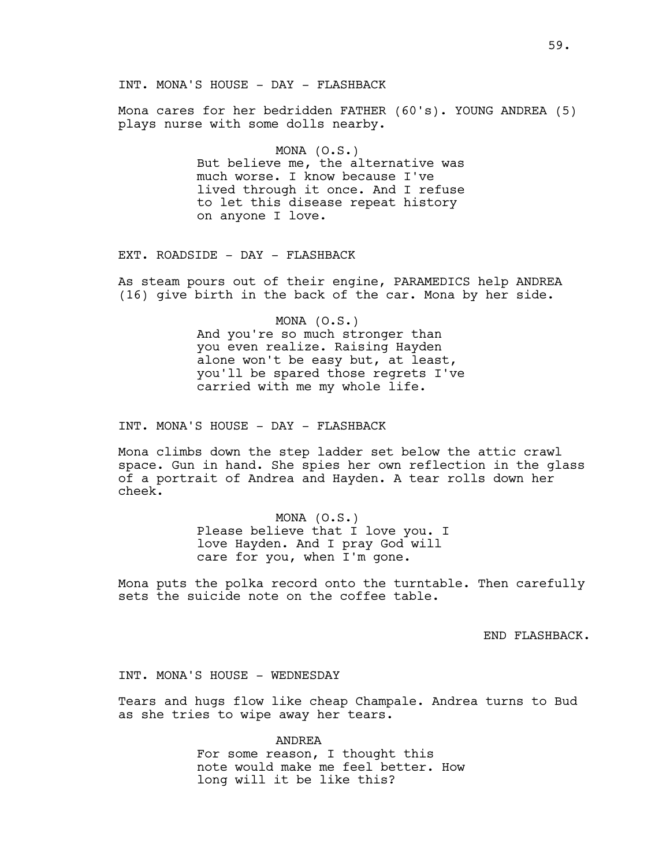Mona cares for her bedridden FATHER (60's). YOUNG ANDREA (5) plays nurse with some dolls nearby.

> MONA (O.S.) But believe me, the alternative was much worse. I know because I've lived through it once. And I refuse to let this disease repeat history on anyone I love.

EXT. ROADSIDE - DAY - FLASHBACK

As steam pours out of their engine, PARAMEDICS help ANDREA (16) give birth in the back of the car. Mona by her side.

> MONA (O.S.) And you're so much stronger than you even realize. Raising Hayden alone won't be easy but, at least, you'll be spared those regrets I've carried with me my whole life.

INT. MONA'S HOUSE - DAY - FLASHBACK

Mona climbs down the step ladder set below the attic crawl space. Gun in hand. She spies her own reflection in the glass of a portrait of Andrea and Hayden. A tear rolls down her cheek.

> MONA (O.S.) Please believe that I love you. I love Hayden. And I pray God will care for you, when I'm gone.

Mona puts the polka record onto the turntable. Then carefully sets the suicide note on the coffee table.

END FLASHBACK.

INT. MONA'S HOUSE - WEDNESDAY

Tears and hugs flow like cheap Champale. Andrea turns to Bud as she tries to wipe away her tears.

> ANDREA For some reason, I thought this note would make me feel better. How long will it be like this?